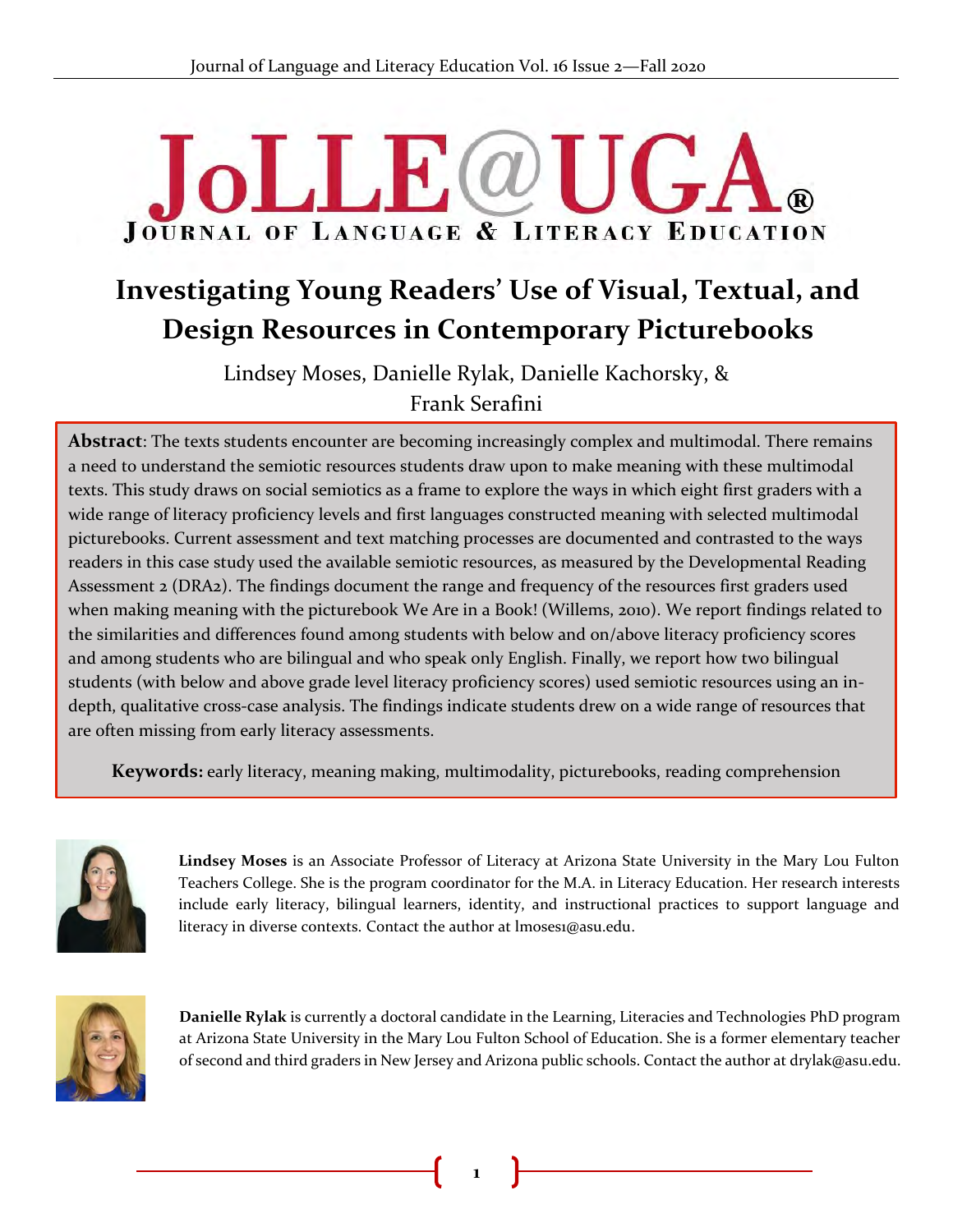# **JoLLE@U JOURNAL OF LANGUAGE & LITERACY EDUCATION**

# **Investigating Young Readers' Use of Visual, Textual, and Design Resources in Contemporary Picturebooks**

Lindsey Moses, Danielle Rylak, Danielle Kachorsky, & Frank Serafini

**Abstract**: The texts students encounter are becoming increasingly complex and multimodal. There remains ADStract: The texts students encounter are beconning increasingly complex and multimodal. There remain<br>a need to understand the semiotic resources students draw upon to make meaning with these multimodal texts. This study draws on social semiotics as a frame to explore the ways in which eight first graders with a wide range of literacy proficiency levels and first languages constructed meaning with selected multimodal picturebooks. Current assessment and text matching processes are documented and contrasted to the ways readers in this case study used the available semiotic resources, as measured by the Developmental Reading Assessment 2 (DRA2). The findings document the range and frequency of the resources first graders used when making meaning with the picturebook We Are in a Book! (Willems, 2010). We report findings related to the similarities and differences found among students with below and on/above literacy proficiency scores and among students who are bilingual and who speak only English. Finally, we report how two bilingual students (with below and above grade level literacy proficiency scores) used semiotic resources using an indepth, qualitative cross-case analysis. The findings indicate students drew on a wide range of resources that are often missing from early literacy assessments.

**Keywords:** early literacy, meaning making, multimodality, picturebooks, reading comprehension



Lindsey Moses is an Associate Professor of Literacy at Arizona State University in the Mary Lou Fulton Teachers College. She is the program coordinator for the M.A. in Literacy Education. Her research interests include early literacy, bilingual learners, identity, and instructional practices to support language and literacy in diverse contexts. Contact the author at lmoses1@asu.edu.



**Danielle Rylak** is currently a doctoral candidate in the Learning, Literacies and Technologies PhD program at Arizona State University in the Mary Lou Fulton School of Education. She is a former elementary teacher of second and third graders in New Jersey and Arizona public schools. Contact the author at drylak@asu.edu.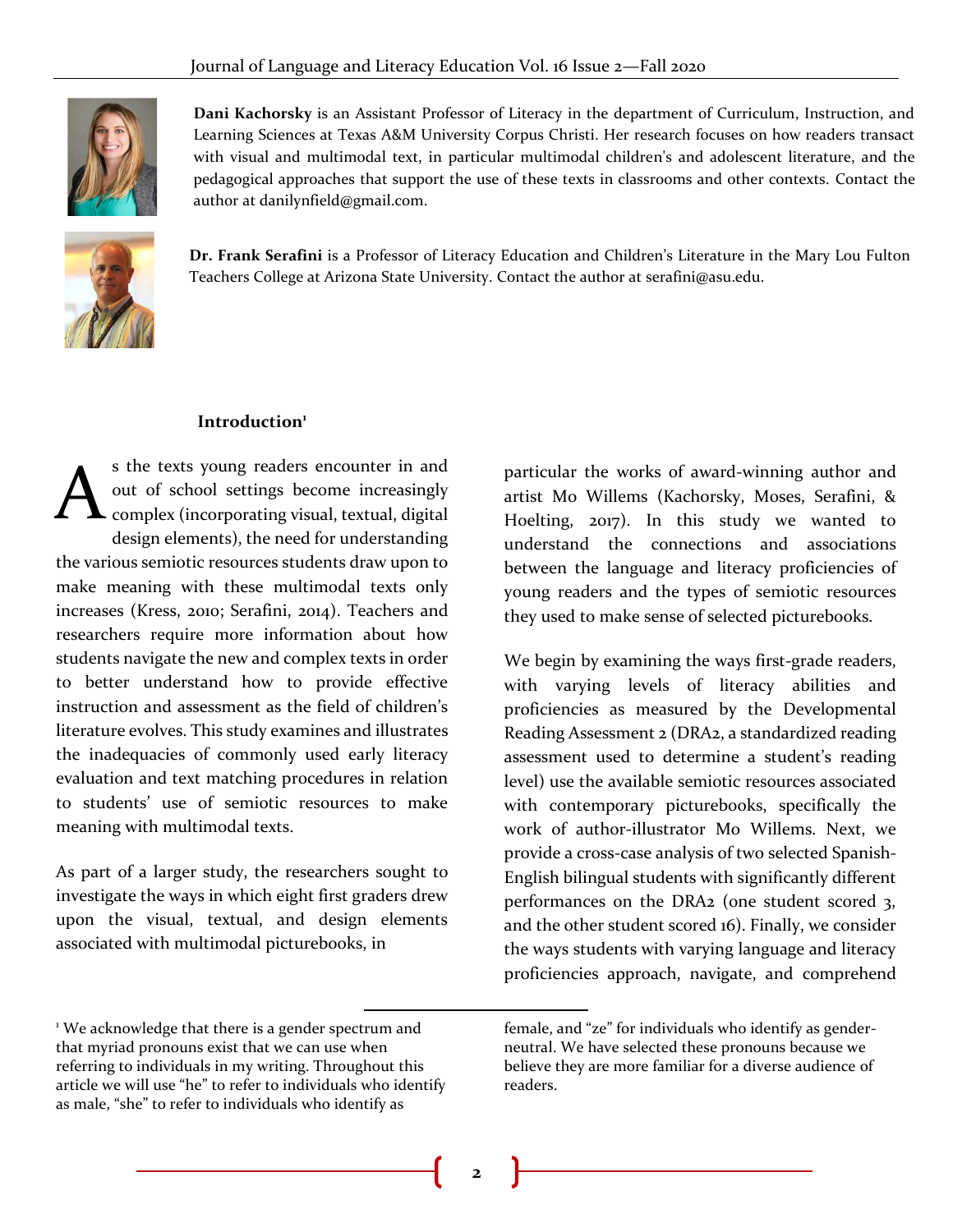

**Dani Kachorsky** is an Assistant Professor of Literacy in the department of Curriculum, Instruction, and Learning Sciences at Texas A&M University Corpus Christi. Her research focuses on how readers transact with visual and multimodal text, in particular multimodal children's and adolescent literature, and the pedagogical approaches that support the use of these texts in classrooms and other contexts. Contact the author at danilynfield@gmail.com.



**Dr. Frank Serafini** is a Professor of Literacy Education and Children's Literature in the Mary Lou Fulton Teachers College at Arizona State University. Contact the author at serafini@asu.edu.

#### **Introduction<sup>1</sup>**

s the texts young readers encounter in and out of school settings become increasingly  $\blacktriangle$  complex (incorporating visual, textual, digital design elements), the need for understanding the various semiotic resources students draw upon to make meaning with these multimodal texts only increases (Kress, 2010; Serafini, 2014). Teachers and researchers require more information about how students navigate the new and complex texts in order to better understand how to provide effective instruction and assessment as the field of children's literature evolves. This study examines and illustrates the inadequacies of commonly used early literacy evaluation and text matching procedures in relation to students' use of semiotic resources to make meaning with multimodal texts. A

As part of a larger study, the researchers sought to investigate the ways in which eight first graders drew upon the visual, textual, and design elements associated with multimodal picturebooks, in

particular the works of award-winning author and artist Mo Willems (Kachorsky, Moses, Serafini, & Hoelting, 2017). In this study we wanted to understand the connections and associations between the language and literacy proficiencies of young readers and the types of semiotic resources they used to make sense of selected picturebooks.

We begin by examining the ways first-grade readers, with varying levels of literacy abilities and proficiencies as measured by the Developmental Reading Assessment 2 (DRA2, a standardized reading assessment used to determine a student's reading level) use the available semiotic resources associated with contemporary picturebooks, specifically the work of author-illustrator Mo Willems. Next, we provide a cross-case analysis of two selected Spanish-English bilingual students with significantly different performances on the DRA2 (one student scored 3, and the other student scored 16). Finally, we consider the ways students with varying language and literacy proficiencies approach, navigate, and comprehend

<sup>&</sup>lt;sup>1</sup> We acknowledge that there is a gender spectrum and that myriad pronouns exist that we can use when referring to individuals in my writing. Throughout this article we will use "he" to refer to individuals who identify as male, "she" to refer to individuals who identify as

female, and "ze" for individuals who identify as genderneutral. We have selected these pronouns because we believe they are more familiar for a diverse audience of readers.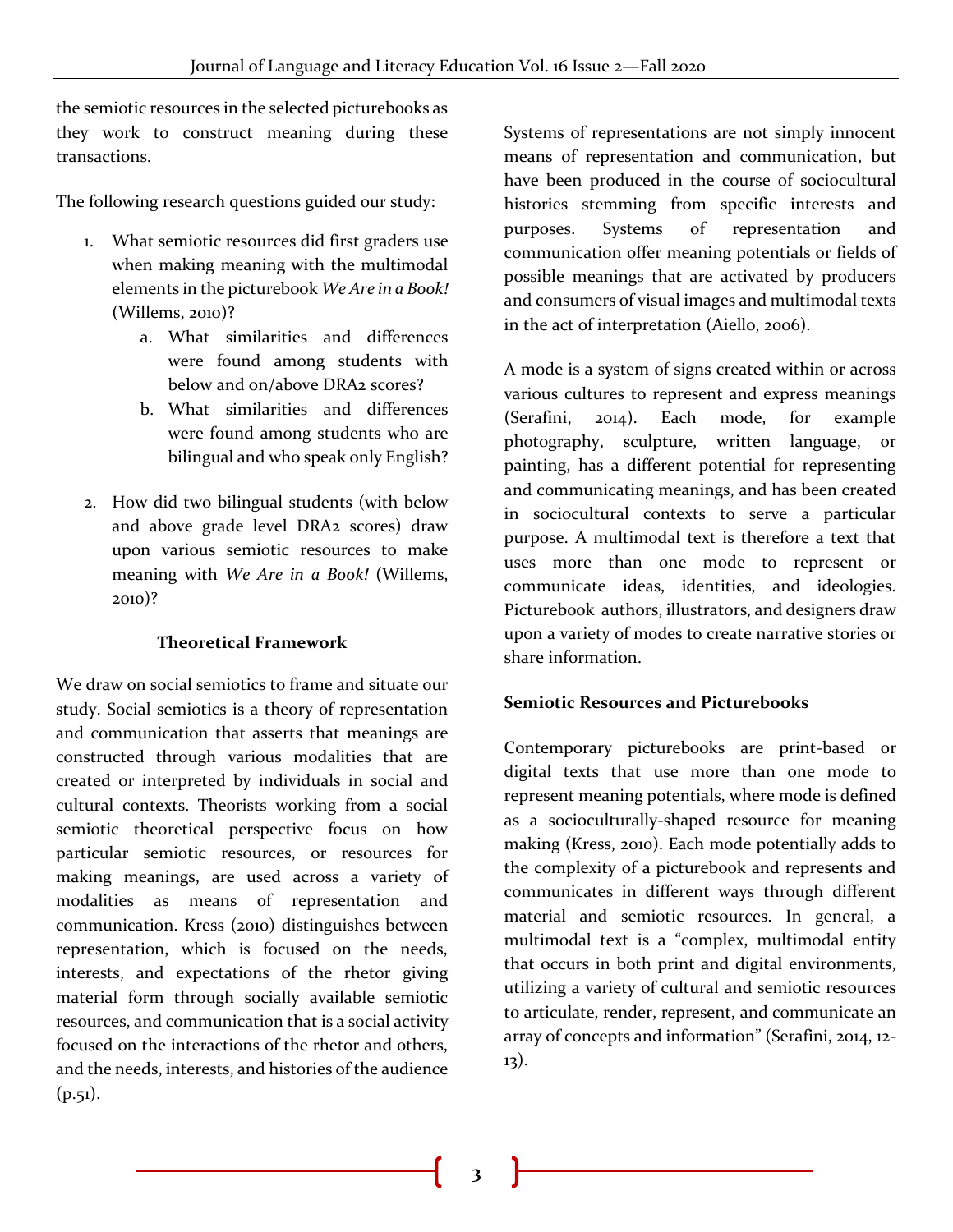the semiotic resources in the selected picturebooks as they work to construct meaning during these transactions.

The following research questions guided our study:

- 1. What semiotic resources did first graders use when making meaning with the multimodal elements in the picturebook *We Are in a Book!* (Willems, 2010)?
	- a. What similarities and differences were found among students with below and on/above DRA2 scores?
	- b. What similarities and differences were found among students who are bilingual and who speak only English?
- 2. How did two bilingual students (with below and above grade level DRA2 scores) draw upon various semiotic resources to make meaning with *We Are in a Book!* (Willems, 2010)?

#### **Theoretical Framework**

We draw on social semiotics to frame and situate our study. Social semiotics is a theory of representation and communication that asserts that meanings are constructed through various modalities that are created or interpreted by individuals in social and cultural contexts. Theorists working from a social semiotic theoretical perspective focus on how particular semiotic resources, or resources for making meanings, are used across a variety of modalities as means of representation and communication. Kress (2010) distinguishes between representation, which is focused on the needs, interests, and expectations of the rhetor giving material form through socially available semiotic resources, and communication that is a social activity focused on the interactions of the rhetor and others, and the needs, interests, and histories of the audience  $(p.51)$ .

Systems of representations are not simply innocent means of representation and communication, but have been produced in the course of sociocultural histories stemming from specific interests and purposes. Systems of representation and communication offer meaning potentials or fields of possible meanings that are activated by producers and consumers of visual images and multimodal texts in the act of interpretation (Aiello, 2006).

A mode is a system of signs created within or across various cultures to represent and express meanings (Serafini, 2014). Each mode, for example photography, sculpture, written language, or painting, has a different potential for representing and communicating meanings, and has been created in sociocultural contexts to serve a particular purpose. A multimodal text is therefore a text that uses more than one mode to represent or communicate ideas, identities, and ideologies. Picturebook authors, illustrators, and designers draw upon a variety of modes to create narrative stories or share information.

#### **Semiotic Resources and Picturebooks**

Contemporary picturebooks are print-based or digital texts that use more than one mode to represent meaning potentials, where mode is defined as a socioculturally-shaped resource for meaning making (Kress, 2010). Each mode potentially adds to the complexity of a picturebook and represents and communicates in different ways through different material and semiotic resources. In general, a multimodal text is a "complex, multimodal entity that occurs in both print and digital environments, utilizing a variety of cultural and semiotic resources to articulate, render, represent, and communicate an array of concepts and information" (Serafini, 2014, 12- 13).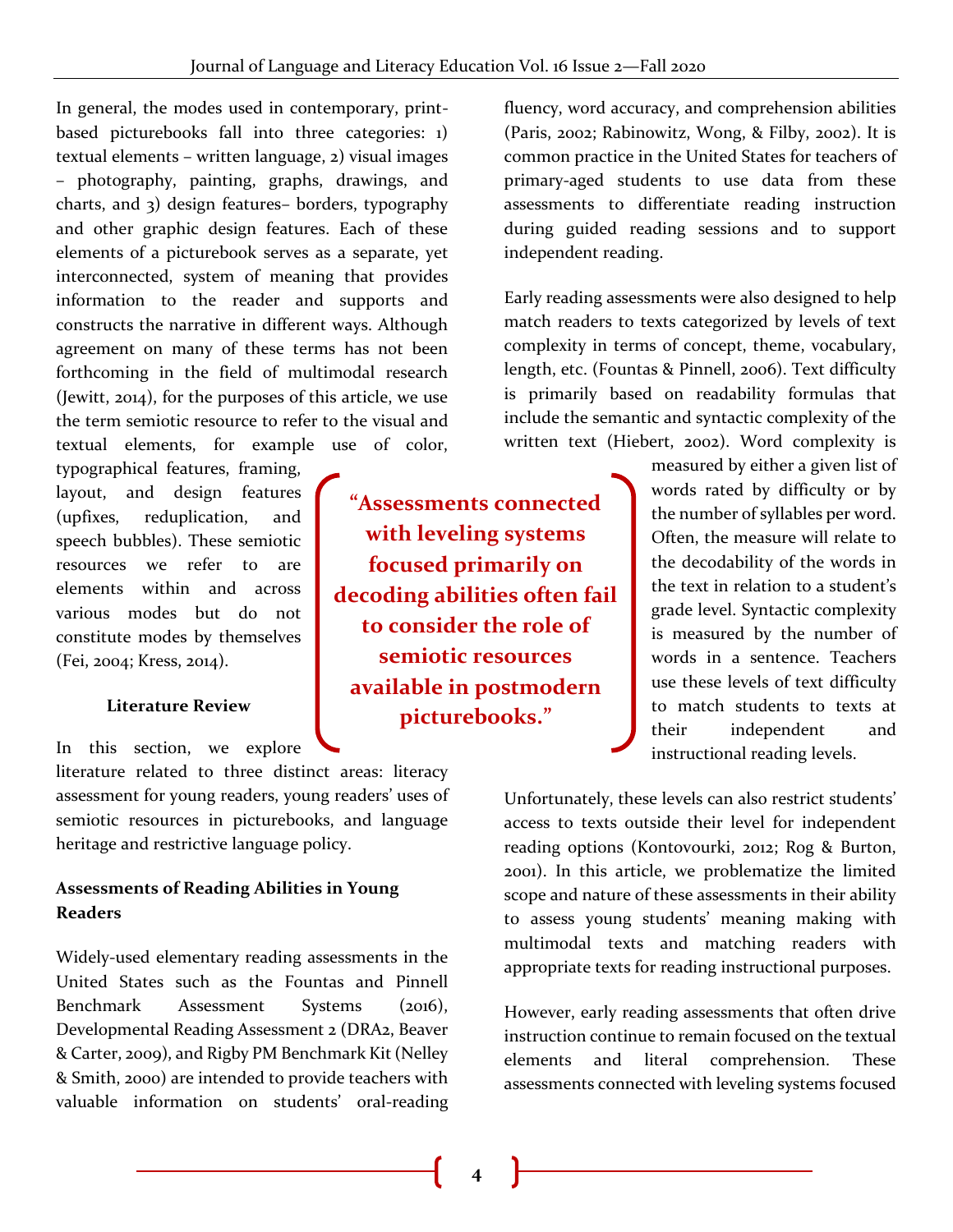In general, the modes used in contemporary, printbased picturebooks fall into three categories: 1) textual elements – written language, 2) visual images – photography, painting, graphs, drawings, and charts, and 3) design features– borders, typography and other graphic design features. Each of these elements of a picturebook serves as a separate, yet interconnected, system of meaning that provides information to the reader and supports and constructs the narrative in different ways. Although agreement on many of these terms has not been forthcoming in the field of multimodal research (Jewitt, 2014), for the purposes of this article, we use the term semiotic resource to refer to the visual and textual elements, for example use of color,

typographical features, framing, layout, and design features (upfixes, reduplication, and speech bubbles). These semiotic resources we refer to are elements within and across various modes but do not constitute modes by themselves (Fei, 2004; Kress, 2014).

#### **Literature Review**

In this section, we explore

literature related to three distinct areas: literacy assessment for young readers, young readers' uses of semiotic resources in picturebooks, and language heritage and restrictive language policy.

#### **Assessments of Reading Abilities in Young Readers**

Widely-used elementary reading assessments in the United States such as the Fountas and Pinnell Benchmark Assessment Systems (2016), Developmental Reading Assessment 2 (DRA2, Beaver & Carter, 2009), and Rigby PM Benchmark Kit (Nelley & Smith, 2000) are intended to provide teachers with valuable information on students' oral-reading

**"Assessments connected with leveling systems focused primarily on decoding abilities often fail to consider the role of semiotic resources available in postmodern picturebooks."**

fluency, word accuracy, and comprehension abilities (Paris, 2002; Rabinowitz, Wong, & Filby, 2002). It is common practice in the United States for teachers of primary-aged students to use data from these assessments to differentiate reading instruction during guided reading sessions and to support independent reading.

Early reading assessments were also designed to help match readers to texts categorized by levels of text complexity in terms of concept, theme, vocabulary, length, etc. (Fountas & Pinnell, 2006). Text difficulty is primarily based on readability formulas that include the semantic and syntactic complexity of the written text (Hiebert, 2002). Word complexity is

> measured by either a given list of words rated by difficulty or by the number of syllables per word. Often, the measure will relate to the decodability of the words in the text in relation to a student's grade level. Syntactic complexity is measured by the number of words in a sentence. Teachers use these levels of text difficulty to match students to texts at their independent and instructional reading levels.

Unfortunately, these levels can also restrict students' access to texts outside their level for independent reading options (Kontovourki, 2012; Rog & Burton, 2001). In this article, we problematize the limited scope and nature of these assessments in their ability to assess young students' meaning making with multimodal texts and matching readers with appropriate texts for reading instructional purposes.

However, early reading assessments that often drive instruction continue to remain focused on the textual elements and literal comprehension. These assessments connected with leveling systems focused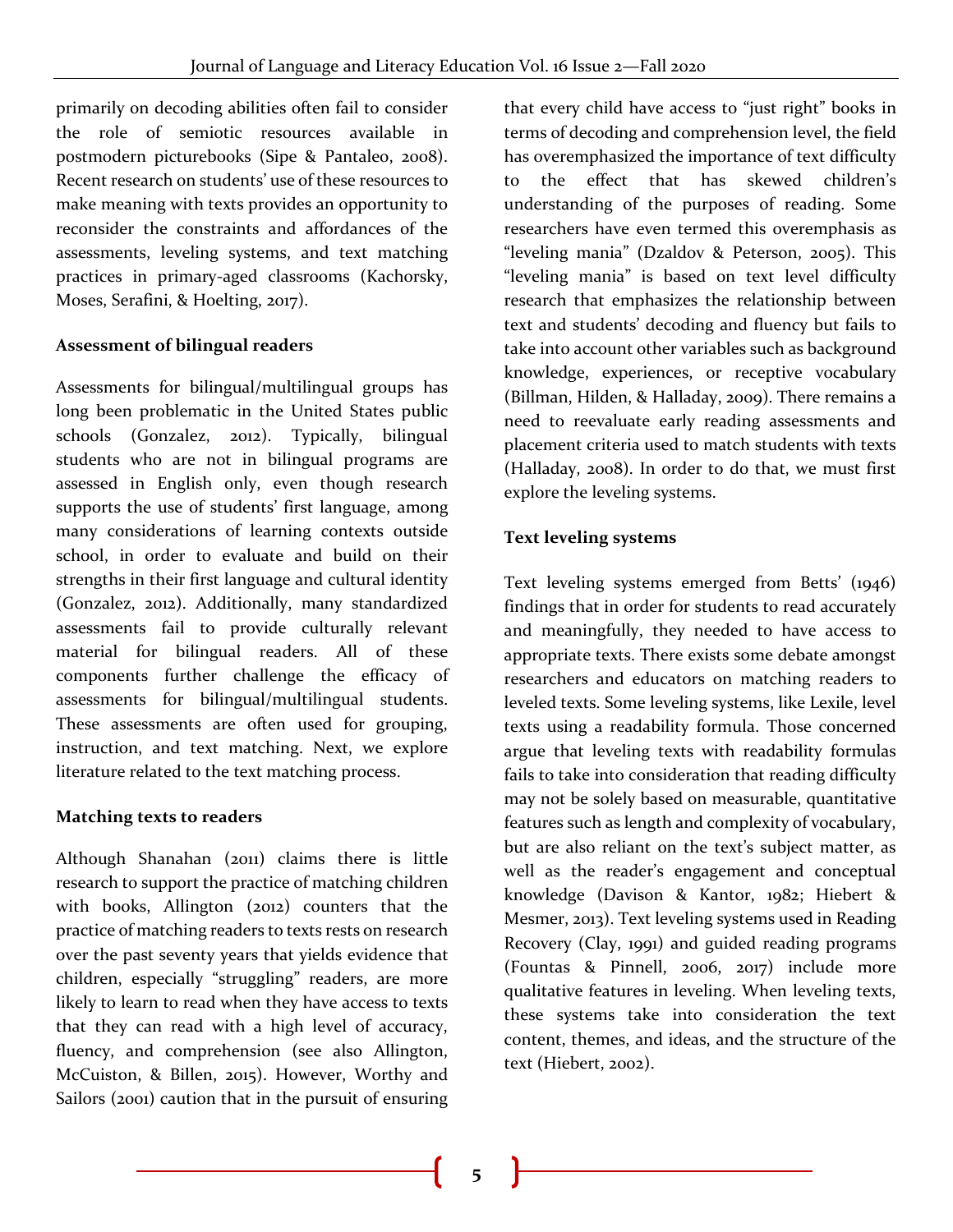primarily on decoding abilities often fail to consider the role of semiotic resources available in postmodern picturebooks (Sipe & Pantaleo, 2008). Recent research on students' use of these resources to make meaning with texts provides an opportunity to reconsider the constraints and affordances of the assessments, leveling systems, and text matching practices in primary-aged classrooms (Kachorsky, Moses, Serafini, & Hoelting, 2017).

#### **Assessment of bilingual readers**

Assessments for bilingual/multilingual groups has long been problematic in the United States public schools (Gonzalez, 2012). Typically, bilingual students who are not in bilingual programs are assessed in English only, even though research supports the use of students' first language, among many considerations of learning contexts outside school, in order to evaluate and build on their strengths in their first language and cultural identity (Gonzalez, 2012). Additionally, many standardized assessments fail to provide culturally relevant material for bilingual readers. All of these components further challenge the efficacy of assessments for bilingual/multilingual students. These assessments are often used for grouping, instruction, and text matching. Next, we explore literature related to the text matching process.

#### **Matching texts to readers**

Although Shanahan (2011) claims there is little research to support the practice of matching children with books, Allington (2012) counters that the practice of matching readers to texts rests on research over the past seventy years that yields evidence that children, especially "struggling" readers, are more likely to learn to read when they have access to texts that they can read with a high level of accuracy, fluency, and comprehension (see also Allington, McCuiston, & Billen, 2015). However, Worthy and Sailors (2001) caution that in the pursuit of ensuring

that every child have access to "just right" books in terms of decoding and comprehension level, the field has overemphasized the importance of text difficulty to the effect that has skewed children's understanding of the purposes of reading. Some researchers have even termed this overemphasis as "leveling mania" (Dzaldov & Peterson, 2005). This "leveling mania" is based on text level difficulty research that emphasizes the relationship between text and students' decoding and fluency but fails to take into account other variables such as background knowledge, experiences, or receptive vocabulary (Billman, Hilden, & Halladay, 2009). There remains a need to reevaluate early reading assessments and placement criteria used to match students with texts (Halladay, 2008). In order to do that, we must first explore the leveling systems.

#### **Text leveling systems**

Text leveling systems emerged from Betts' (1946) findings that in order for students to read accurately and meaningfully, they needed to have access to appropriate texts. There exists some debate amongst researchers and educators on matching readers to leveled texts. Some leveling systems, like Lexile, level texts using a readability formula. Those concerned argue that leveling texts with readability formulas fails to take into consideration that reading difficulty may not be solely based on measurable, quantitative features such as length and complexity of vocabulary, but are also reliant on the text's subject matter, as well as the reader's engagement and conceptual knowledge (Davison & Kantor, 1982; Hiebert & Mesmer, 2013). Text leveling systems used in Reading Recovery (Clay, 1991) and guided reading programs (Fountas & Pinnell, 2006, 2017) include more qualitative features in leveling. When leveling texts, these systems take into consideration the text content, themes, and ideas, and the structure of the text (Hiebert, 2002).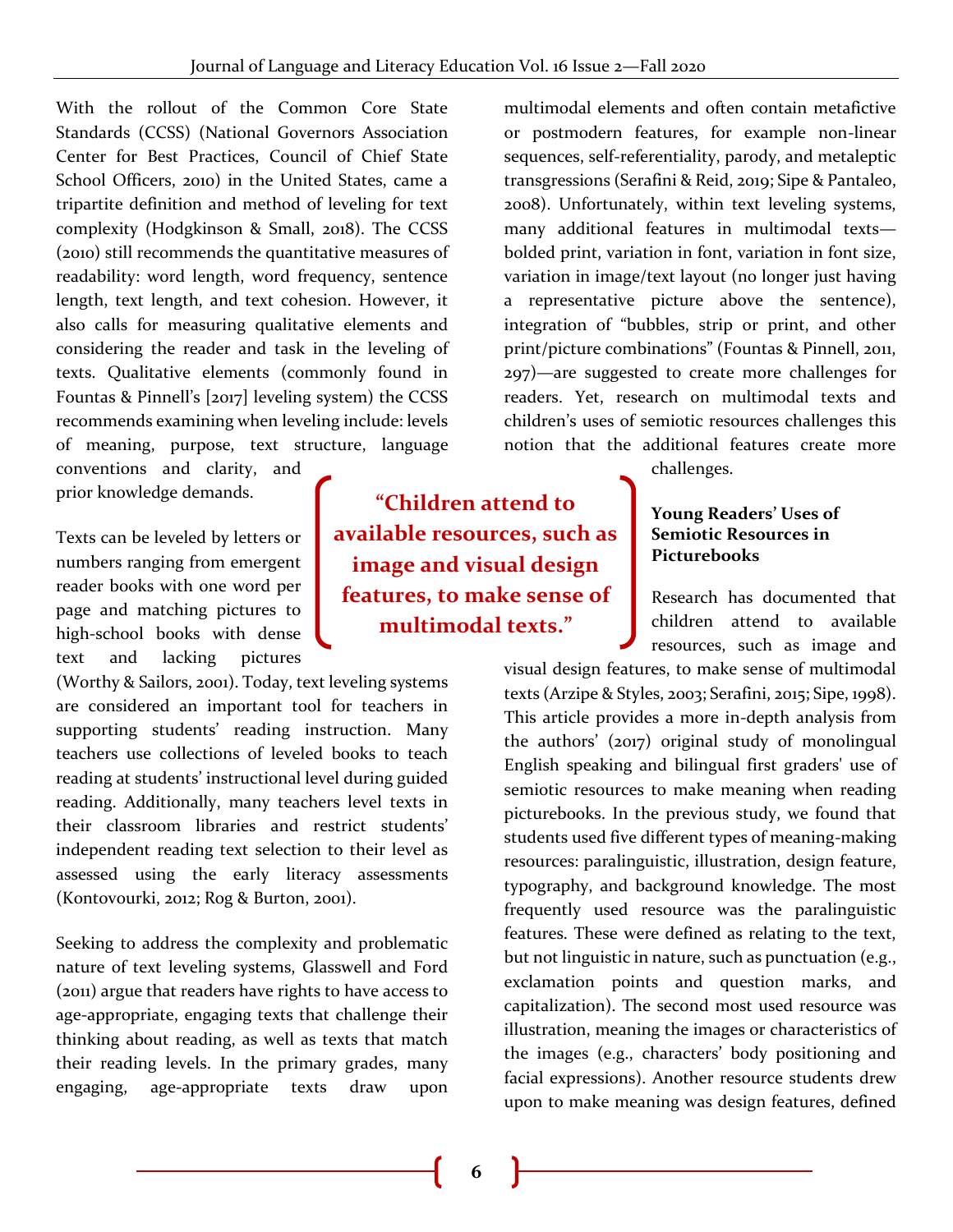With the rollout of the Common Core State Standards (CCSS) (National Governors Association Center for Best Practices, Council of Chief State School Officers, 2010) in the United States, came a tripartite definition and method of leveling for text complexity (Hodgkinson & Small, 2018). The CCSS (2010) still recommends the quantitative measures of readability: word length, word frequency, sentence length, text length, and text cohesion. However, it also calls for measuring qualitative elements and considering the reader and task in the leveling of texts. Qualitative elements (commonly found in Fountas & Pinnell's [2017] leveling system) the CCSS recommends examining when leveling include: levels of meaning, purpose, text structure, language

conventions and clarity, and prior knowledge demands.

Texts can be leveled by letters or numbers ranging from emergent reader books with one word per page and matching pictures to high-school books with dense text and lacking pictures

(Worthy & Sailors, 2001). Today, text leveling systems are considered an important tool for teachers in supporting students' reading instruction. Many teachers use collections of leveled books to teach reading at students' instructional level during guided reading. Additionally, many teachers level texts in their classroom libraries and restrict students' independent reading text selection to their level as assessed using the early literacy assessments (Kontovourki, 2012; Rog & Burton, 2001).

Seeking to address the complexity and problematic nature of text leveling systems, Glasswell and Ford (2011) argue that readers have rights to have access to age-appropriate, engaging texts that challenge their thinking about reading, as well as texts that match their reading levels. In the primary grades, many engaging, age-appropriate texts draw upon

**"Children attend to available resources, such as image and visual design features, to make sense of multimodal texts."**

multimodal elements and often contain metafictive or postmodern features, for example non-linear sequences, self-referentiality, parody, and metaleptic transgressions (Serafini & Reid, 2019; Sipe & Pantaleo, 2008). Unfortunately, within text leveling systems, many additional features in multimodal texts bolded print, variation in font, variation in font size, variation in image/text layout (no longer just having a representative picture above the sentence), integration of "bubbles, strip or print, and other print/picture combinations" (Fountas & Pinnell, 2011, 297)—are suggested to create more challenges for readers. Yet, research on multimodal texts and children's uses of semiotic resources challenges this notion that the additional features create more

challenges.

#### **Young Readers' Uses of Semiotic Resources in Picturebooks**

Research has documented that children attend to available resources, such as image and

visual design features, to make sense of multimodal texts (Arzipe & Styles, 2003; Serafini, 2015; Sipe, 1998). This article provides a more in-depth analysis from the authors' (2017) original study of monolingual English speaking and bilingual first graders' use of semiotic resources to make meaning when reading picturebooks. In the previous study, we found that students used five different types of meaning-making resources: paralinguistic, illustration, design feature, typography, and background knowledge. The most frequently used resource was the paralinguistic features. These were defined as relating to the text, but not linguistic in nature, such as punctuation (e.g., exclamation points and question marks, and capitalization). The second most used resource was illustration, meaning the images or characteristics of the images (e.g., characters' body positioning and facial expressions). Another resource students drew upon to make meaning was design features, defined

**6**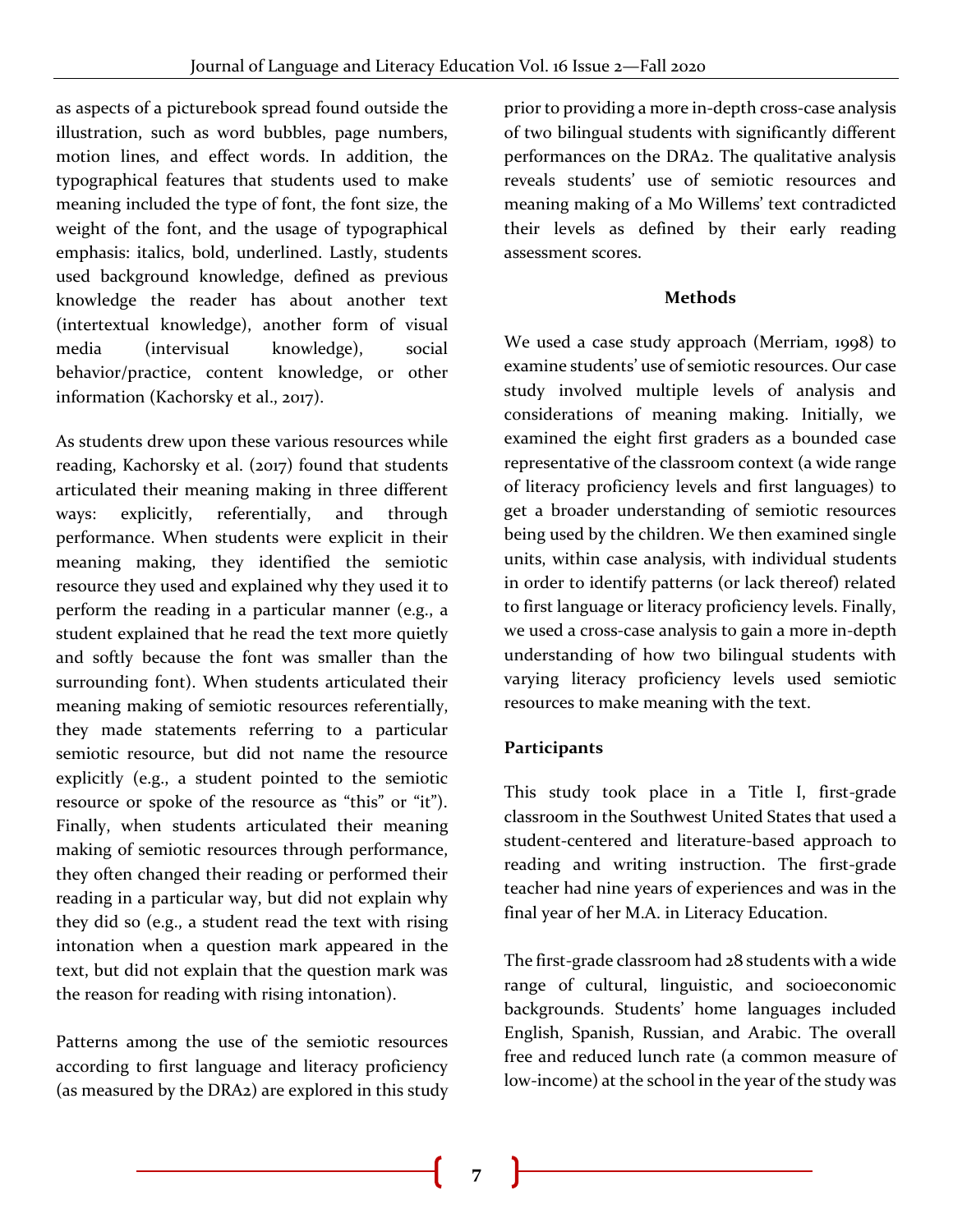as aspects of a picturebook spread found outside the illustration, such as word bubbles, page numbers, motion lines, and effect words. In addition, the typographical features that students used to make meaning included the type of font, the font size, the weight of the font, and the usage of typographical emphasis: italics, bold, underlined. Lastly, students used background knowledge, defined as previous knowledge the reader has about another text (intertextual knowledge), another form of visual media (intervisual knowledge), social behavior/practice, content knowledge, or other information (Kachorsky et al., 2017).

As students drew upon these various resources while reading, Kachorsky et al. (2017) found that students articulated their meaning making in three different ways: explicitly, referentially, and through performance. When students were explicit in their meaning making, they identified the semiotic resource they used and explained why they used it to perform the reading in a particular manner (e.g., a student explained that he read the text more quietly and softly because the font was smaller than the surrounding font). When students articulated their meaning making of semiotic resources referentially, they made statements referring to a particular semiotic resource, but did not name the resource explicitly (e.g., a student pointed to the semiotic resource or spoke of the resource as "this" or "it"). Finally, when students articulated their meaning making of semiotic resources through performance, they often changed their reading or performed their reading in a particular way, but did not explain why they did so (e.g., a student read the text with rising intonation when a question mark appeared in the text, but did not explain that the question mark was the reason for reading with rising intonation).

Patterns among the use of the semiotic resources according to first language and literacy proficiency (as measured by the DRA2) are explored in this study prior to providing a more in-depth cross-case analysis of two bilingual students with significantly different performances on the DRA2. The qualitative analysis reveals students' use of semiotic resources and meaning making of a Mo Willems' text contradicted their levels as defined by their early reading assessment scores.

#### **Methods**

We used a case study approach (Merriam, 1998) to examine students' use of semiotic resources. Our case study involved multiple levels of analysis and considerations of meaning making. Initially, we examined the eight first graders as a bounded case representative of the classroom context (a wide range of literacy proficiency levels and first languages) to get a broader understanding of semiotic resources being used by the children. We then examined single units, within case analysis, with individual students in order to identify patterns (or lack thereof) related to first language or literacy proficiency levels. Finally, we used a cross-case analysis to gain a more in-depth understanding of how two bilingual students with varying literacy proficiency levels used semiotic resources to make meaning with the text.

#### **Participants**

This study took place in a Title I, first-grade classroom in the Southwest United States that used a student-centered and literature-based approach to reading and writing instruction. The first-grade teacher had nine years of experiences and was in the final year of her M.A. in Literacy Education.

The first-grade classroom had 28 students with a wide range of cultural, linguistic, and socioeconomic backgrounds. Students' home languages included English, Spanish, Russian, and Arabic. The overall free and reduced lunch rate (a common measure of low-income) at the school in the year of the study was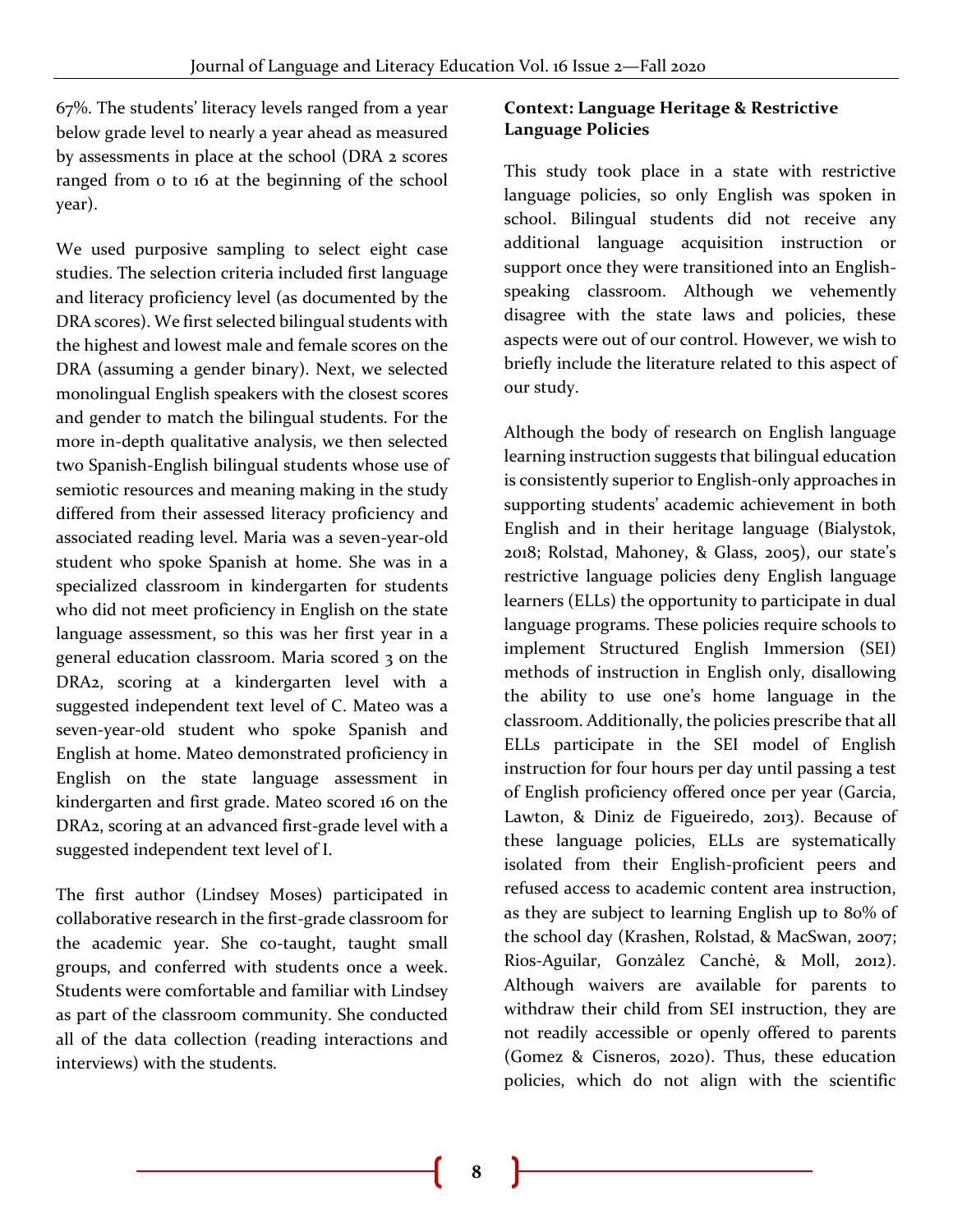67%. The students' literacy levels ranged from a year below grade level to nearly a year ahead as measured by assessments in place at the school (DRA 2 scores ranged from 0 to 16 at the beginning of the school year).

We used purposive sampling to select eight case studies. The selection criteria included first language and literacy proficiency level (as documented by the DRA scores). We first selected bilingual students with the highest and lowest male and female scores on the DRA (assuming a gender binary). Next, we selected monolingual English speakers with the closest scores and gender to match the bilingual students. For the more in-depth qualitative analysis, we then selected two Spanish-English bilingual students whose use of semiotic resources and meaning making in the study differed from their assessed literacy proficiency and associated reading level. Maria was a seven-year-old student who spoke Spanish at home. She was in a specialized classroom in kindergarten for students who did not meet proficiency in English on the state language assessment, so this was her first year in a general education classroom. Maria scored 3 on the DRA2, scoring at a kindergarten level with a suggested independent text level of C. Mateo was a seven-year-old student who spoke Spanish and English at home. Mateo demonstrated proficiency in English on the state language assessment in kindergarten and first grade. Mateo scored 16 on the DRA2, scoring at an advanced first-grade level with a suggested independent text level of I.

The first author (Lindsey Moses) participated in collaborative research in the first-grade classroom for the academic year. She co-taught, taught small groups, and conferred with students once a week. Students were comfortable and familiar with Lindsey as part of the classroom community. She conducted all of the data collection (reading interactions and interviews) with the students.

#### **Context: Language Heritage & Restrictive Language Policies**

This study took place in a state with restrictive language policies, so only English was spoken in school. Bilingual students did not receive any additional language acquisition instruction or support once they were transitioned into an Englishspeaking classroom. Although we vehemently disagree with the state laws and policies, these aspects were out of our control. However, we wish to briefly include the literature related to this aspect of our study.

Although the body of research on English language learning instruction suggests that bilingual education is consistently superior to English-only approaches in supporting students' academic achievement in both English and in their heritage language (Bialystok, 2018; Rolstad, Mahoney, & Glass, 2005), our state's restrictive language policies deny English language learners (ELLs) the opportunity to participate in dual language programs. These policies require schools to implement Structured English Immersion (SEI) methods of instruction in English only, disallowing the ability to use one's home language in the classroom. Additionally, the policies prescribe that all ELLs participate in the SEI model of English instruction for four hours per day until passing a test of English proficiency offered once per year (Garcia, Lawton, & Diniz de Figueiredo, 2013). Because of these language policies, ELLs are systematically isolated from their English-proficient peers and refused access to academic content area instruction, as they are subject to learning English up to 80% of the school day (Krashen, Rolstad, & MacSwan, 2007; Rios-Aguilar, Gonzȧlez Canchė, & Moll, 2012). Although waivers are available for parents to withdraw their child from SEI instruction, they are not readily accessible or openly offered to parents (Gomez & Cisneros, 2020). Thus, these education policies, which do not align with the scientific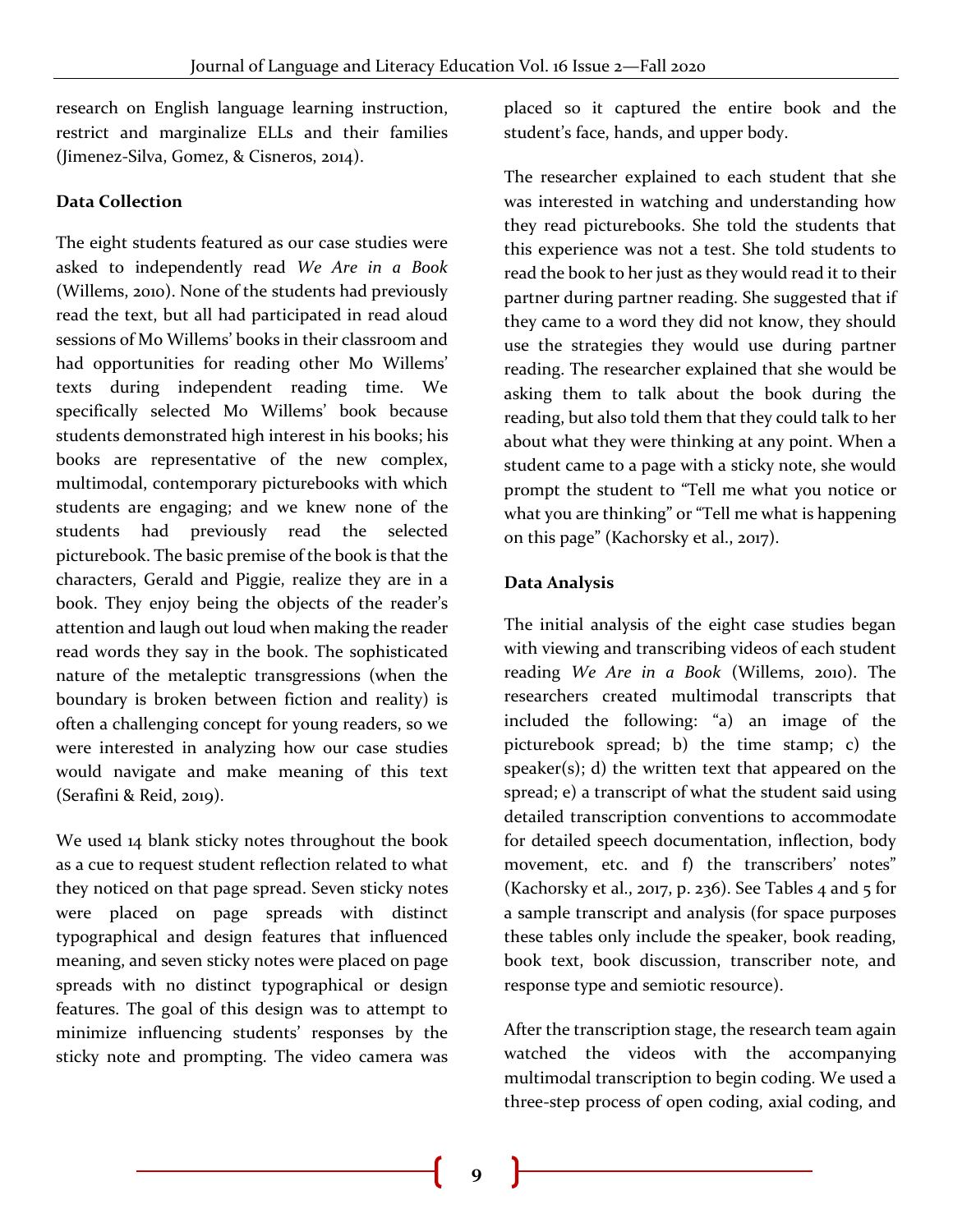research on English language learning instruction, restrict and marginalize ELLs and their families (Jimenez-Silva, Gomez, & Cisneros, 2014).

#### **Data Collection**

The eight students featured as our case studies were asked to independently read *We Are in a Book* (Willems, 2010). None of the students had previously read the text, but all had participated in read aloud sessions of Mo Willems' books in their classroom and had opportunities for reading other Mo Willems' texts during independent reading time. We specifically selected Mo Willems' book because students demonstrated high interest in his books; his books are representative of the new complex, multimodal, contemporary picturebooks with which students are engaging; and we knew none of the students had previously read the selected picturebook. The basic premise of the book is that the characters, Gerald and Piggie, realize they are in a book. They enjoy being the objects of the reader's attention and laugh out loud when making the reader read words they say in the book. The sophisticated nature of the metaleptic transgressions (when the boundary is broken between fiction and reality) is often a challenging concept for young readers, so we were interested in analyzing how our case studies would navigate and make meaning of this text (Serafini & Reid, 2019).

We used 14 blank sticky notes throughout the book as a cue to request student reflection related to what they noticed on that page spread. Seven sticky notes were placed on page spreads with distinct typographical and design features that influenced meaning, and seven sticky notes were placed on page spreads with no distinct typographical or design features. The goal of this design was to attempt to minimize influencing students' responses by the sticky note and prompting. The video camera was

placed so it captured the entire book and the student's face, hands, and upper body.

The researcher explained to each student that she was interested in watching and understanding how they read picturebooks. She told the students that this experience was not a test. She told students to read the book to her just as they would read it to their partner during partner reading. She suggested that if they came to a word they did not know, they should use the strategies they would use during partner reading. The researcher explained that she would be asking them to talk about the book during the reading, but also told them that they could talk to her about what they were thinking at any point. When a student came to a page with a sticky note, she would prompt the student to "Tell me what you notice or what you are thinking" or "Tell me what is happening on this page" (Kachorsky et al., 2017).

#### **Data Analysis**

The initial analysis of the eight case studies began with viewing and transcribing videos of each student reading *We Are in a Book* (Willems, 2010). The researchers created multimodal transcripts that included the following: "a) an image of the picturebook spread; b) the time stamp; c) the speaker $(s)$ ; d) the written text that appeared on the spread; e) a transcript of what the student said using detailed transcription conventions to accommodate for detailed speech documentation, inflection, body movement, etc. and f) the transcribers' notes" (Kachorsky et al., 2017, p. 236). See Tables 4 and 5 for a sample transcript and analysis (for space purposes these tables only include the speaker, book reading, book text, book discussion, transcriber note, and response type and semiotic resource).

After the transcription stage, the research team again watched the videos with the accompanying multimodal transcription to begin coding. We used a three-step process of open coding, axial coding, and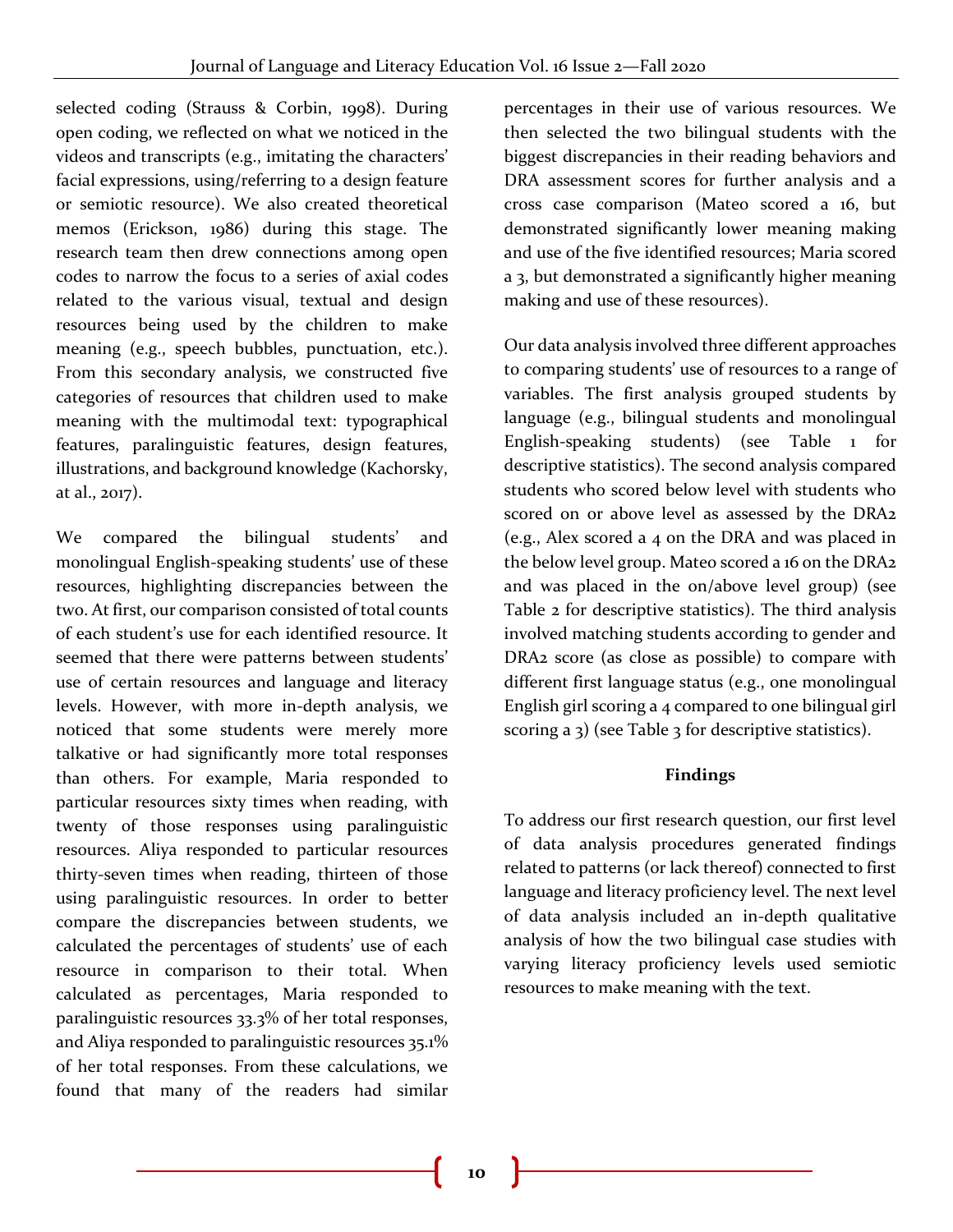selected coding (Strauss & Corbin, 1998). During open coding, we reflected on what we noticed in the videos and transcripts (e.g., imitating the characters' facial expressions, using/referring to a design feature or semiotic resource). We also created theoretical memos (Erickson, 1986) during this stage. The research team then drew connections among open codes to narrow the focus to a series of axial codes related to the various visual, textual and design resources being used by the children to make meaning (e.g., speech bubbles, punctuation, etc.). From this secondary analysis, we constructed five categories of resources that children used to make meaning with the multimodal text: typographical features, paralinguistic features, design features, illustrations, and background knowledge (Kachorsky, at al., 2017).

We compared the bilingual students' and monolingual English-speaking students' use of these resources, highlighting discrepancies between the two. At first, our comparison consisted of total counts of each student's use for each identified resource. It seemed that there were patterns between students' use of certain resources and language and literacy levels. However, with more in-depth analysis, we noticed that some students were merely more talkative or had significantly more total responses than others. For example, Maria responded to particular resources sixty times when reading, with twenty of those responses using paralinguistic resources. Aliya responded to particular resources thirty-seven times when reading, thirteen of those using paralinguistic resources. In order to better compare the discrepancies between students, we calculated the percentages of students' use of each resource in comparison to their total. When calculated as percentages, Maria responded to paralinguistic resources 33.3% of her total responses, and Aliya responded to paralinguistic resources 35.1% of her total responses. From these calculations, we found that many of the readers had similar

percentages in their use of various resources. We then selected the two bilingual students with the biggest discrepancies in their reading behaviors and DRA assessment scores for further analysis and a cross case comparison (Mateo scored a 16, but demonstrated significantly lower meaning making and use of the five identified resources; Maria scored a 3, but demonstrated a significantly higher meaning making and use of these resources).

Our data analysis involved three different approaches to comparing students' use of resources to a range of variables. The first analysis grouped students by language (e.g., bilingual students and monolingual English-speaking students) (see Table 1 for descriptive statistics). The second analysis compared students who scored below level with students who scored on or above level as assessed by the DRA2 (e.g., Alex scored a 4 on the DRA and was placed in the below level group. Mateo scored a 16 on the DRA2 and was placed in the on/above level group) (see Table 2 for descriptive statistics). The third analysis involved matching students according to gender and DRA2 score (as close as possible) to compare with different first language status (e.g., one monolingual English girl scoring a 4 compared to one bilingual girl scoring a 3) (see Table 3 for descriptive statistics).

#### **Findings**

To address our first research question, our first level of data analysis procedures generated findings related to patterns (or lack thereof) connected to first language and literacy proficiency level. The next level of data analysis included an in-depth qualitative analysis of how the two bilingual case studies with varying literacy proficiency levels used semiotic resources to make meaning with the text.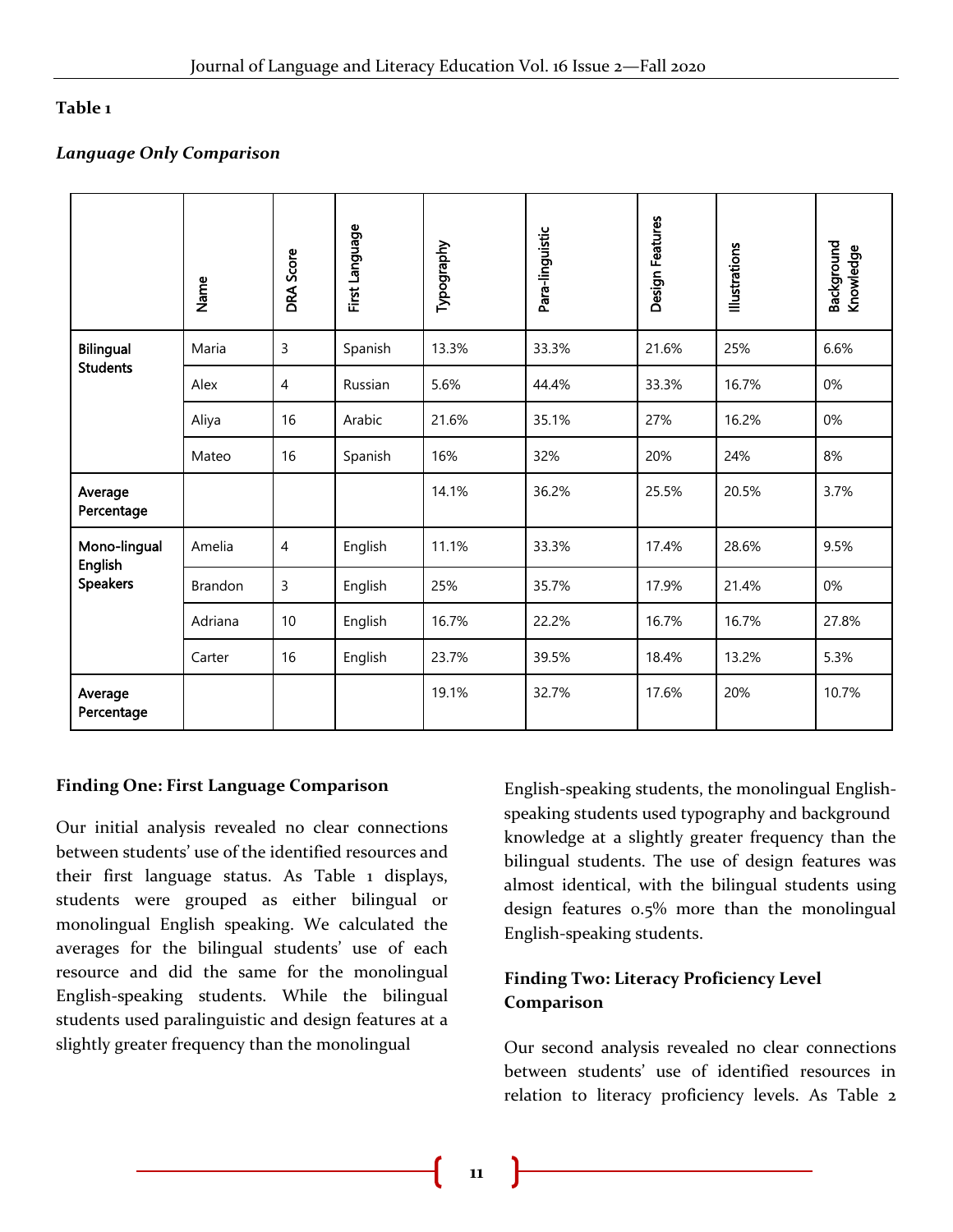#### **Table 1**

#### *Language Only Comparison*

|                            | Name           | <b>DRA Score</b> | First Language | Typography | Para-linguistic | Design Features | <b>Illustrations</b> | Background<br>Knowledge |
|----------------------------|----------------|------------------|----------------|------------|-----------------|-----------------|----------------------|-------------------------|
| <b>Bilingual</b>           | Maria          | 3                | Spanish        | 13.3%      | 33.3%           | 21.6%           | 25%                  | 6.6%                    |
| <b>Students</b>            | Alex           | $\overline{4}$   | Russian        | 5.6%       | 44.4%           | 33.3%           | 16.7%                | 0%                      |
|                            | Aliya          | 16               | Arabic         | 21.6%      | 35.1%           | 27%             | 16.2%                | 0%                      |
|                            | Mateo          | 16               | Spanish        | 16%        | 32%             | 20%             | 24%                  | 8%                      |
| Average<br>Percentage      |                |                  |                | 14.1%      | 36.2%           | 25.5%           | 20.5%                | 3.7%                    |
| Mono-lingual               | Amelia         | $\overline{4}$   | English        | 11.1%      | 33.3%           | 17.4%           | 28.6%                | 9.5%                    |
| English<br><b>Speakers</b> | <b>Brandon</b> | 3                | English        | 25%        | 35.7%           | 17.9%           | 21.4%                | 0%                      |
|                            | Adriana        | 10               | English        | 16.7%      | 22.2%           | 16.7%           | 16.7%                | 27.8%                   |
|                            | Carter         | 16               | English        | 23.7%      | 39.5%           | 18.4%           | 13.2%                | 5.3%                    |
| Average<br>Percentage      |                |                  |                | 19.1%      | 32.7%           | 17.6%           | 20%                  | 10.7%                   |

#### **Finding One: First Language Comparison**

Our initial analysis revealed no clear connections between students' use of the identified resources and their first language status. As Table 1 displays, students were grouped as either bilingual or monolingual English speaking. We calculated the averages for the bilingual students' use of each resource and did the same for the monolingual English-speaking students. While the bilingual students used paralinguistic and design features at a slightly greater frequency than the monolingual

English-speaking students, the monolingual Englishspeaking students used typography and background knowledge at a slightly greater frequency than the bilingual students. The use of design features was almost identical, with the bilingual students using design features 0.5% more than the monolingual English-speaking students.

#### **Finding Two: Literacy Proficiency Level Comparison**

Our second analysis revealed no clear connections between students' use of identified resources in relation to literacy proficiency levels. As Table 2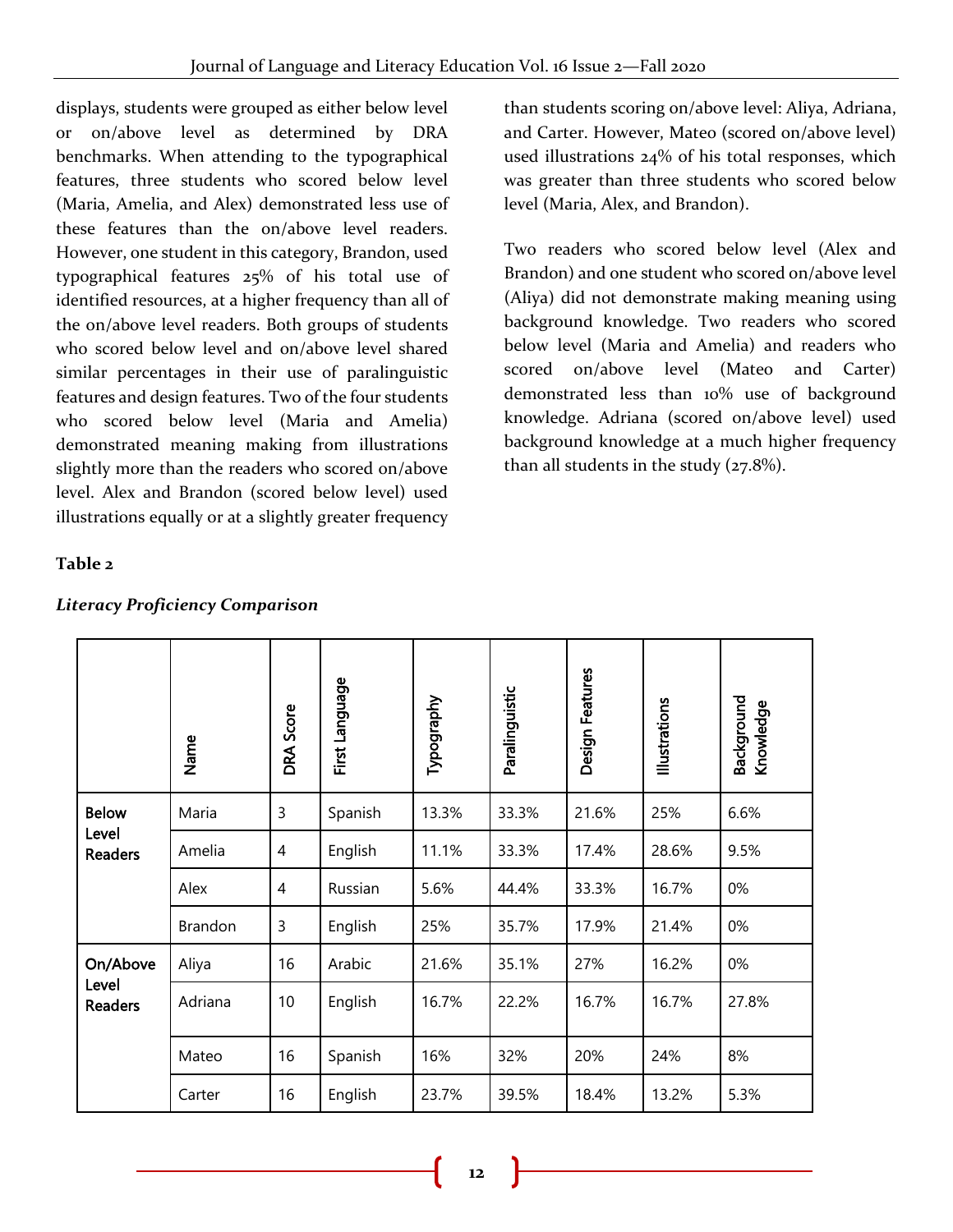displays, students were grouped as either below level or on/above level as determined by DRA benchmarks. When attending to the typographical features, three students who scored below level (Maria, Amelia, and Alex) demonstrated less use of these features than the on/above level readers. However, one student in this category, Brandon, used typographical features 25% of his total use of identified resources, at a higher frequency than all of the on/above level readers. Both groups of students who scored below level and on/above level shared similar percentages in their use of paralinguistic features and design features. Two of the four students who scored below level (Maria and Amelia) demonstrated meaning making from illustrations slightly more than the readers who scored on/above level. Alex and Brandon (scored below level) used illustrations equally or at a slightly greater frequency

#### **Table 2**

|                                         | Name    | <b>DRA Score</b> | First Language | Typography | Paralinguistic | Design Features | Illustrations | Background<br>Knowledge |
|-----------------------------------------|---------|------------------|----------------|------------|----------------|-----------------|---------------|-------------------------|
| <b>Below</b><br>Level<br><b>Readers</b> | Maria   | 3                | Spanish        | 13.3%      | 33.3%          | 21.6%           | 25%           | 6.6%                    |
|                                         | Amelia  | $\overline{4}$   | English        | 11.1%      | 33.3%          | 17.4%           | 28.6%         | 9.5%                    |
|                                         | Alex    | 4                | Russian        | 5.6%       | 44.4%          | 33.3%           | 16.7%         | 0%                      |
|                                         | Brandon | 3                | English        | 25%        | 35.7%          | 17.9%           | 21.4%         | 0%                      |
| On/Above<br>Level<br><b>Readers</b>     | Aliya   | 16               | Arabic         | 21.6%      | 35.1%          | 27%             | 16.2%         | 0%                      |
|                                         | Adriana | 10               | English        | 16.7%      | 22.2%          | 16.7%           | 16.7%         | 27.8%                   |
|                                         | Mateo   | 16               | Spanish        | 16%        | 32%            | 20%             | 24%           | 8%                      |
|                                         | Carter  | 16               | English        | 23.7%      | 39.5%          | 18.4%           | 13.2%         | 5.3%                    |

#### *Literacy Proficiency Comparison*

than students scoring on/above level: Aliya, Adriana, and Carter. However, Mateo (scored on/above level) used illustrations 24% of his total responses, which was greater than three students who scored below level (Maria, Alex, and Brandon).

Two readers who scored below level (Alex and Brandon) and one student who scored on/above level (Aliya) did not demonstrate making meaning using background knowledge. Two readers who scored below level (Maria and Amelia) and readers who scored on/above level (Mateo and Carter) demonstrated less than 10% use of background knowledge. Adriana (scored on/above level) used background knowledge at a much higher frequency than all students in the study  $(27.8\%)$ .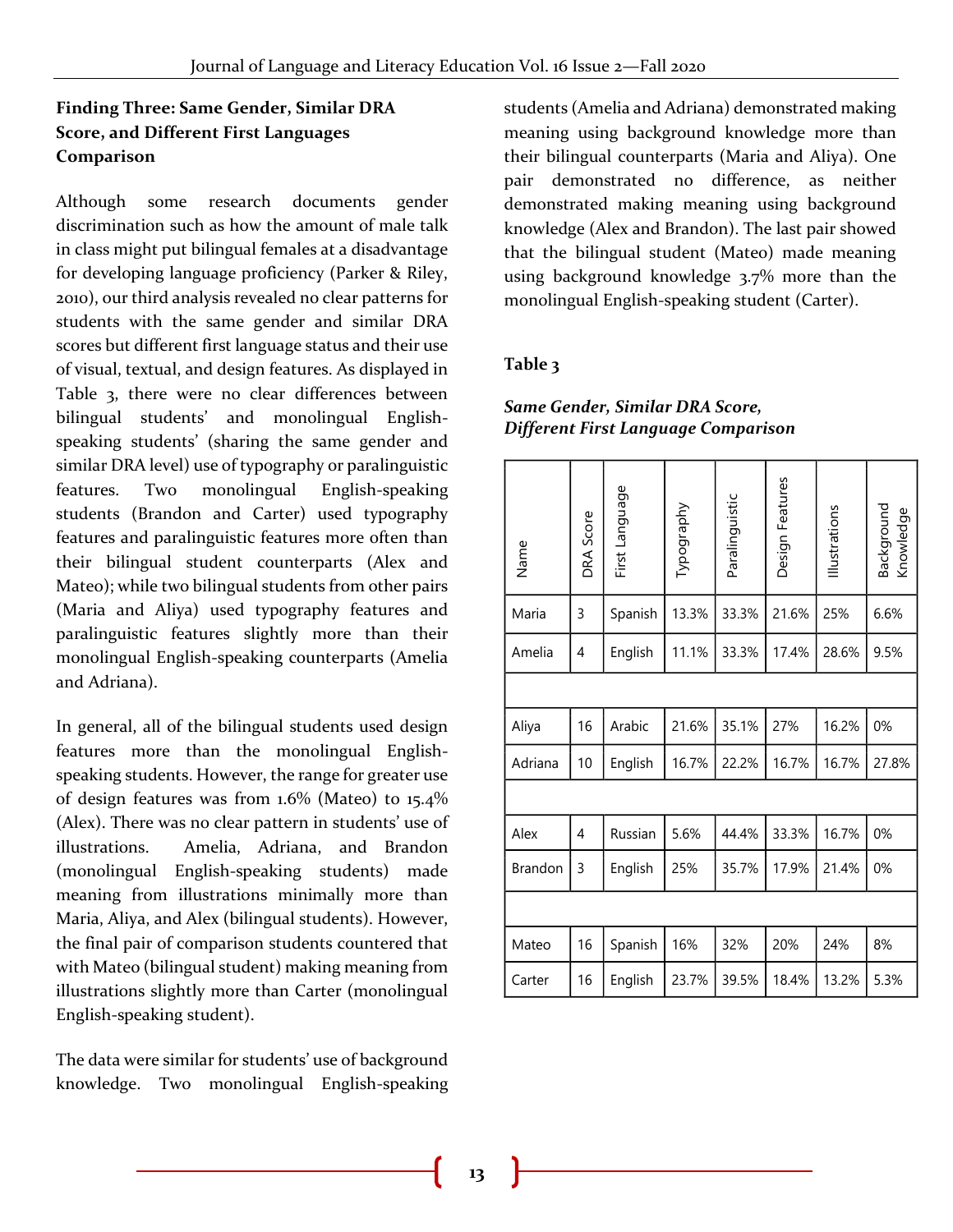#### **Finding Three: Same Gender, Similar DRA Score, and Different First Languages Comparison**

Although some research documents gender discrimination such as how the amount of male talk in class might put bilingual females at a disadvantage for developing language proficiency (Parker & Riley, 2010), our third analysis revealed no clear patterns for students with the same gender and similar DRA scores but different first language status and their use of visual, textual, and design features. As displayed in Table 3, there were no clear differences between bilingual students' and monolingual Englishspeaking students' (sharing the same gender and similar DRA level) use of typography or paralinguistic features. Two monolingual English-speaking students (Brandon and Carter) used typography features and paralinguistic features more often than their bilingual student counterparts (Alex and Mateo); while two bilingual students from other pairs (Maria and Aliya) used typography features and paralinguistic features slightly more than their monolingual English-speaking counterparts (Amelia and Adriana).

In general, all of the bilingual students used design features more than the monolingual Englishspeaking students. However, the range for greater use of design features was from 1.6% (Mateo) to 15.4% (Alex). There was no clear pattern in students' use of illustrations. Amelia, Adriana, and Brandon (monolingual English-speaking students) made meaning from illustrations minimally more than Maria, Aliya, and Alex (bilingual students). However, the final pair of comparison students countered that with Mateo (bilingual student) making meaning from illustrations slightly more than Carter (monolingual English-speaking student).

The data were similar for students' use of background knowledge. Two monolingual English-speaking students (Amelia and Adriana) demonstrated making meaning using background knowledge more than their bilingual counterparts (Maria and Aliya). One pair demonstrated no difference, as neither demonstrated making meaning using background knowledge (Alex and Brandon). The last pair showed that the bilingual student (Mateo) made meaning using background knowledge 3.7% more than the monolingual English-speaking student (Carter).

#### **Table 3**

#### *Same Gender, Similar DRA Score, Different First Language Comparison*

| Name           | DRA Score | First Language | Typography | Paralinguistic | Design Features | Illustrations | Background<br>Knowledge |  |
|----------------|-----------|----------------|------------|----------------|-----------------|---------------|-------------------------|--|
| Maria          | 3         | Spanish        | 13.3%      | 33.3%          | 21.6%           | 25%           | 6.6%                    |  |
| Amelia         | 4         | English        | 11.1%      | 33.3%          | 17.4%           | 28.6%         | 9.5%                    |  |
|                |           |                |            |                |                 |               |                         |  |
| Aliya          | 16        | Arabic         | 21.6%      | 35.1%          | 27%             | 16.2%         | 0%                      |  |
| Adriana        | 10        | English        | 16.7%      | 22.2%          | 16.7%           | 16.7%         | 27.8%                   |  |
|                |           |                |            |                |                 |               |                         |  |
| Alex           | 4         | Russian        | 5.6%       | 44.4%          | 33.3%           | 16.7%         | 0%                      |  |
| <b>Brandon</b> | 3         | English        | 25%        | 35.7%          | 17.9%           | 21.4%         | 0%                      |  |
|                |           |                |            |                |                 |               |                         |  |
| Mateo          | 16        | Spanish        | 16%        | 32%            | 20%             | 24%           | 8%                      |  |
| Carter         | 16        | English        | 23.7%      | 39.5%          | 18.4%           | 13.2%         | 5.3%                    |  |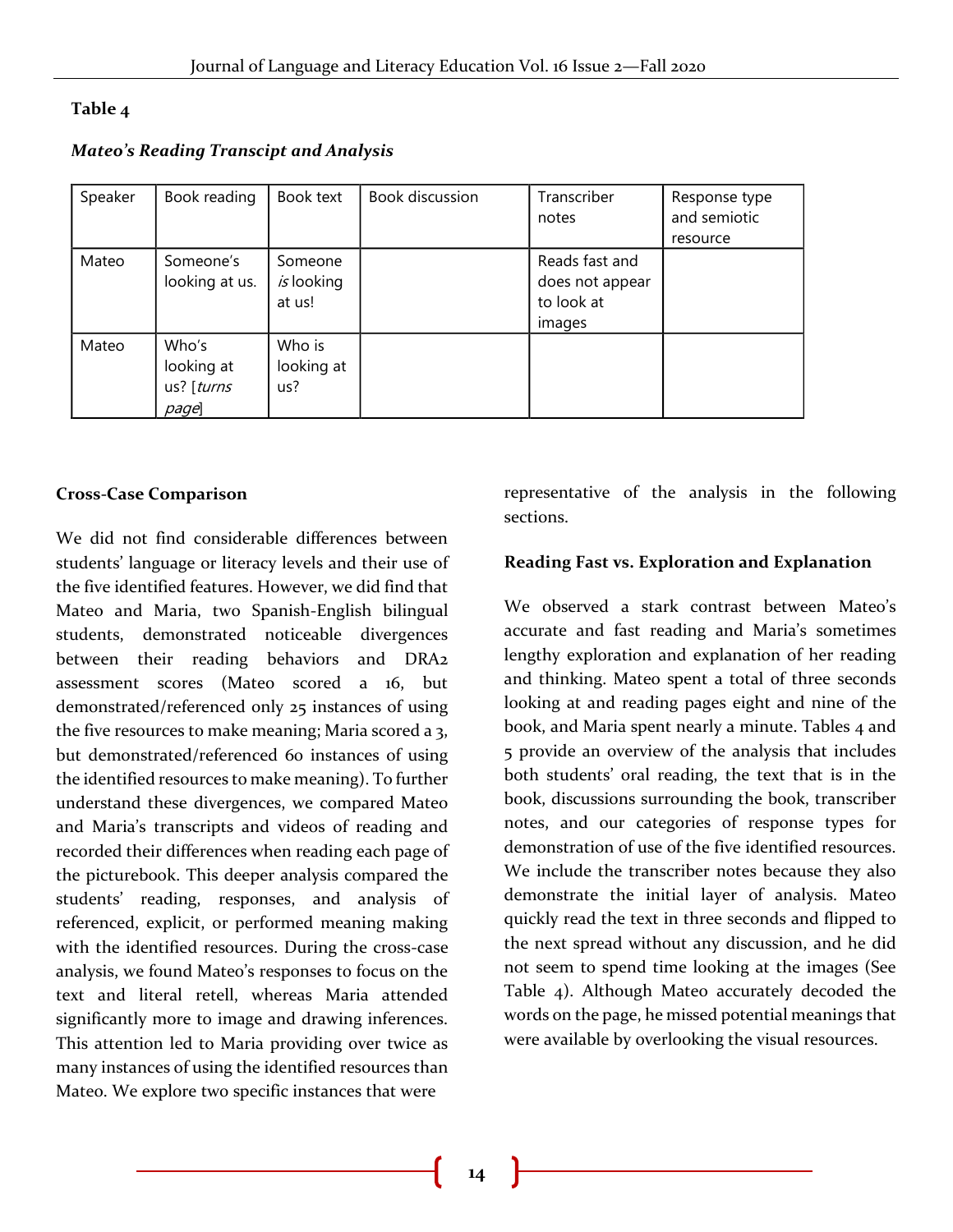#### **Table 4**

*Mateo's Reading Transcipt and Analysis*

| Speaker | Book reading                               | Book text                       | <b>Book discussion</b> | Transcriber<br>notes                                      | Response type<br>and semiotic<br>resource |
|---------|--------------------------------------------|---------------------------------|------------------------|-----------------------------------------------------------|-------------------------------------------|
| Mateo   | Someone's<br>looking at us.                | Someone<br>is looking<br>at us! |                        | Reads fast and<br>does not appear<br>to look at<br>images |                                           |
| Mateo   | Who's<br>looking at<br>us? [turns<br>page] | Who is<br>looking at<br>us?     |                        |                                                           |                                           |

#### **Cross-Case Comparison**

We did not find considerable differences between students' language or literacy levels and their use of the five identified features. However, we did find that Mateo and Maria, two Spanish-English bilingual students, demonstrated noticeable divergences between their reading behaviors and DRA2 assessment scores (Mateo scored a 16, but demonstrated/referenced only 25 instances of using the five resources to make meaning; Maria scored a 3, but demonstrated/referenced 60 instances of using the identified resources to make meaning). To further understand these divergences, we compared Mateo and Maria's transcripts and videos of reading and recorded their differences when reading each page of the picturebook. This deeper analysis compared the students' reading, responses, and analysis of referenced, explicit, or performed meaning making with the identified resources. During the cross-case analysis, we found Mateo's responses to focus on the text and literal retell, whereas Maria attended significantly more to image and drawing inferences. This attention led to Maria providing over twice as many instances of using the identified resources than Mateo. We explore two specific instances that were

representative of the analysis in the following sections.

#### **Reading Fast vs. Exploration and Explanation**

We observed a stark contrast between Mateo's accurate and fast reading and Maria's sometimes lengthy exploration and explanation of her reading and thinking. Mateo spent a total of three seconds looking at and reading pages eight and nine of the book, and Maria spent nearly a minute. Tables 4 and 5 provide an overview of the analysis that includes both students' oral reading, the text that is in the book, discussions surrounding the book, transcriber notes, and our categories of response types for demonstration of use of the five identified resources. We include the transcriber notes because they also demonstrate the initial layer of analysis. Mateo quickly read the text in three seconds and flipped to the next spread without any discussion, and he did not seem to spend time looking at the images (See Table 4). Although Mateo accurately decoded the words on the page, he missed potential meanings that were available by overlooking the visual resources.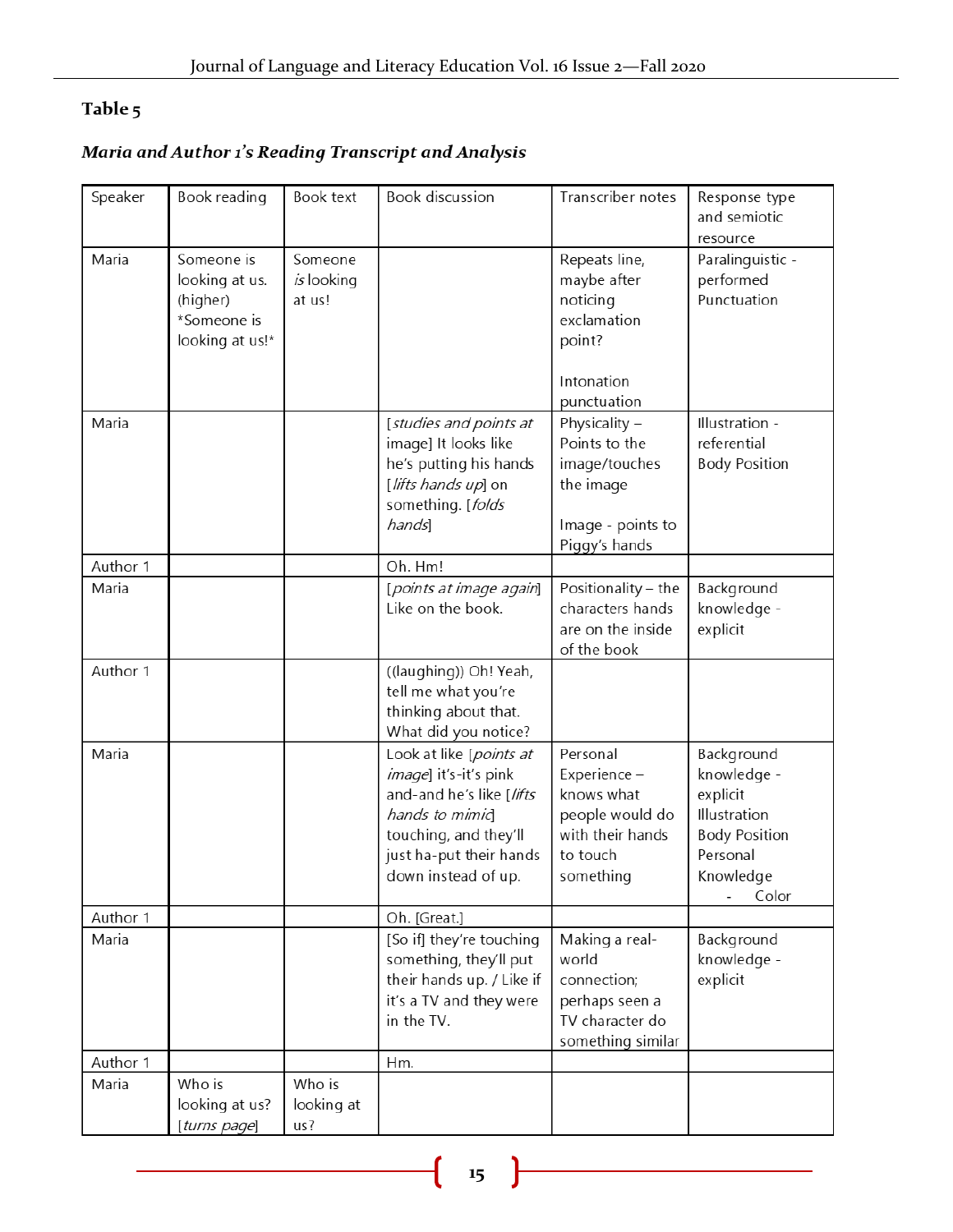### Table 5

## Maria and Author 1's Reading Transcript and Analysis

| Speaker  | Book reading                                                               | Book text                       | <b>Book discussion</b>                                                                                                                                                    | Transcriber notes                                                                                      | Response type<br>and semiotic<br>resource                                                                       |
|----------|----------------------------------------------------------------------------|---------------------------------|---------------------------------------------------------------------------------------------------------------------------------------------------------------------------|--------------------------------------------------------------------------------------------------------|-----------------------------------------------------------------------------------------------------------------|
| Maria    | Someone is<br>looking at us.<br>(higher)<br>*Someone is<br>looking at us!* | Someone<br>is looking<br>at us! |                                                                                                                                                                           | Repeats line,<br>maybe after<br>noticing<br>exclamation<br>point?<br>Intonation<br>punctuation         | Paralinguistic -<br>performed<br>Punctuation                                                                    |
| Maria    |                                                                            |                                 | [studies and points at<br>image] It looks like<br>he's putting his hands<br>[lifts hands up] on<br>something. [folds<br>hands]                                            | Physicality -<br>Points to the<br>image/touches<br>the image<br>Image - points to<br>Piggy's hands     | Illustration -<br>referential<br><b>Body Position</b>                                                           |
| Author 1 |                                                                            |                                 | Oh. Hm!                                                                                                                                                                   |                                                                                                        |                                                                                                                 |
| Maria    |                                                                            |                                 | [points at image again]<br>Like on the book.                                                                                                                              | Positionality - the<br>characters hands<br>are on the inside<br>of the book                            | Background<br>knowledge -<br>explicit                                                                           |
| Author 1 |                                                                            |                                 | ((laughing)) Oh! Yeah,<br>tell me what you're<br>thinking about that.<br>What did you notice?                                                                             |                                                                                                        |                                                                                                                 |
| Maria    |                                                                            |                                 | Look at like [points at<br>image] it's-it's pink<br>and-and he's like [lifts<br>hands to mimid<br>touching, and they'll<br>just ha-put their hands<br>down instead of up. | Personal<br>Experience -<br>knows what<br>people would do<br>with their hands<br>to touch<br>something | Background<br>knowledge -<br>explicit<br>Illustration<br><b>Body Position</b><br>Personal<br>Knowledge<br>Color |
| Author 1 |                                                                            |                                 | Oh. [Great.]                                                                                                                                                              |                                                                                                        |                                                                                                                 |
| Maria    |                                                                            |                                 | [So if] they're touching<br>something, they'll put<br>their hands up. / Like if<br>it's a TV and they were<br>in the TV.                                                  | Making a real-<br>world<br>connection;<br>perhaps seen a<br>TV character do<br>something similar       | Background<br>knowledge -<br>explicit                                                                           |
| Author 1 |                                                                            |                                 | Hm.                                                                                                                                                                       |                                                                                                        |                                                                                                                 |
| Maria    | Who is<br>looking at us?<br>[turns page]                                   | Who is<br>looking at<br>us?     |                                                                                                                                                                           |                                                                                                        |                                                                                                                 |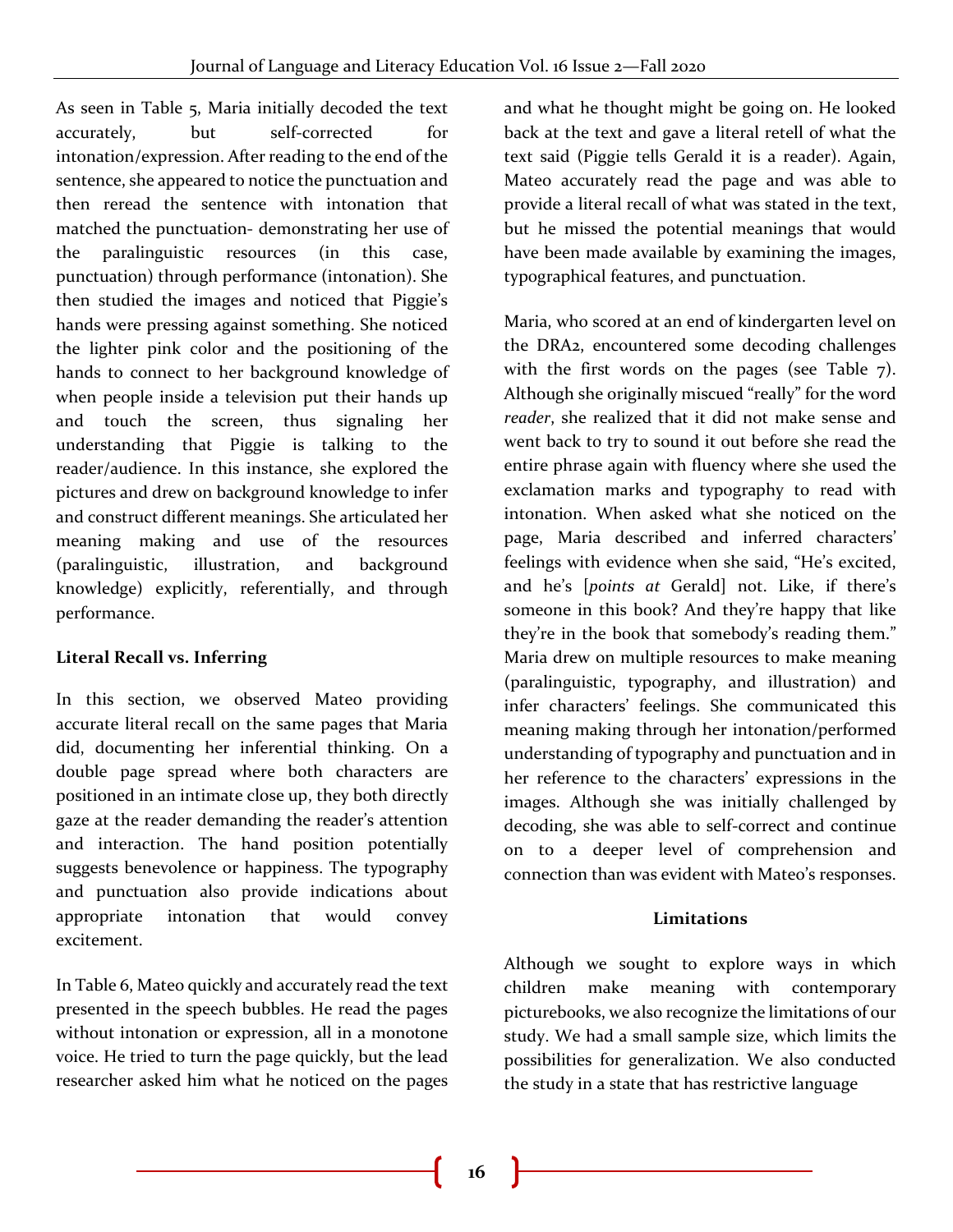As seen in Table 5, Maria initially decoded the text accurately, but self-corrected for intonation/expression. After reading to the end of the sentence, she appeared to notice the punctuation and then reread the sentence with intonation that matched the punctuation- demonstrating her use of the paralinguistic resources (in this case, punctuation) through performance (intonation). She then studied the images and noticed that Piggie's hands were pressing against something. She noticed the lighter pink color and the positioning of the hands to connect to her background knowledge of when people inside a television put their hands up and touch the screen, thus signaling her understanding that Piggie is talking to the reader/audience. In this instance, she explored the pictures and drew on background knowledge to infer and construct different meanings. She articulated her meaning making and use of the resources (paralinguistic, illustration, and background knowledge) explicitly, referentially, and through performance.

#### **Literal Recall vs. Inferring**

In this section, we observed Mateo providing accurate literal recall on the same pages that Maria did, documenting her inferential thinking. On a double page spread where both characters are positioned in an intimate close up, they both directly gaze at the reader demanding the reader's attention and interaction. The hand position potentially suggests benevolence or happiness. The typography and punctuation also provide indications about appropriate intonation that would convey excitement.

In Table 6, Mateo quickly and accurately read the text presented in the speech bubbles. He read the pages without intonation or expression, all in a monotone voice. He tried to turn the page quickly, but the lead researcher asked him what he noticed on the pages

and what he thought might be going on. He looked back at the text and gave a literal retell of what the text said (Piggie tells Gerald it is a reader). Again, Mateo accurately read the page and was able to provide a literal recall of what was stated in the text, but he missed the potential meanings that would have been made available by examining the images, typographical features, and punctuation.

Maria, who scored at an end of kindergarten level on the DRA2, encountered some decoding challenges with the first words on the pages (see Table 7). Although she originally miscued "really" for the word *reader*, she realized that it did not make sense and went back to try to sound it out before she read the entire phrase again with fluency where she used the exclamation marks and typography to read with intonation. When asked what she noticed on the page, Maria described and inferred characters' feelings with evidence when she said, "He's excited, and he's [*points at* Gerald] not. Like, if there's someone in this book? And they're happy that like they're in the book that somebody's reading them." Maria drew on multiple resources to make meaning (paralinguistic, typography, and illustration) and infer characters' feelings. She communicated this meaning making through her intonation/performed understanding of typography and punctuation and in her reference to the characters' expressions in the images. Although she was initially challenged by decoding, she was able to self-correct and continue on to a deeper level of comprehension and connection than was evident with Mateo's responses.

#### **Limitations**

Although we sought to explore ways in which children make meaning with contemporary picturebooks, we also recognize the limitations of our study. We had a small sample size, which limits the possibilities for generalization. We also conducted the study in a state that has restrictive language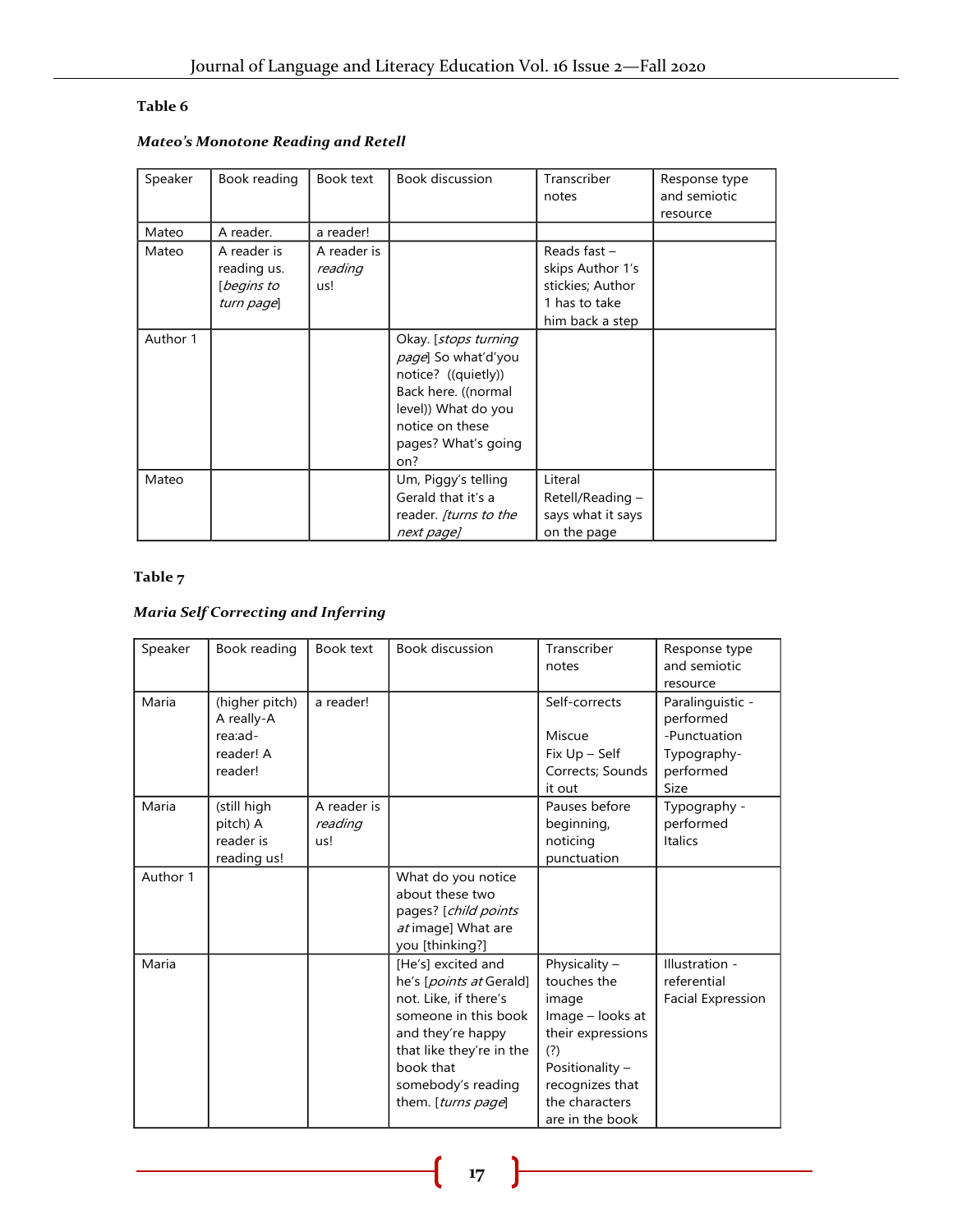#### **Table 6**

#### *Mateo's Monotone Reading and Retell*

| Speaker  | Book reading                                           | Book text                     | <b>Book discussion</b>                                                                                                                                                    | Transcriber<br>notes                                                                       | Response type<br>and semiotic<br>resource |
|----------|--------------------------------------------------------|-------------------------------|---------------------------------------------------------------------------------------------------------------------------------------------------------------------------|--------------------------------------------------------------------------------------------|-------------------------------------------|
| Mateo    | A reader.                                              | a reader!                     |                                                                                                                                                                           |                                                                                            |                                           |
| Mateo    | A reader is<br>reading us.<br>[begins to<br>turn page] | A reader is<br>reading<br>us! |                                                                                                                                                                           | Reads fast $-$<br>skips Author 1's<br>stickies; Author<br>1 has to take<br>him back a step |                                           |
| Author 1 |                                                        |                               | Okay. [ <i>stops turning</i><br>page] So what'd'you<br>notice? ((quietly))<br>Back here. ((normal<br>level)) What do you<br>notice on these<br>pages? What's going<br>on? |                                                                                            |                                           |
| Mateo    |                                                        |                               | Um, Piggy's telling<br>Gerald that it's a<br>reader. [turns to the<br>next page]                                                                                          | Literal<br>Retell/Reading -<br>says what it says<br>on the page                            |                                           |

#### **Table 7**

#### *Maria Self Correcting and Inferring*

| Speaker  | Book reading                                                    | Book text                     | <b>Book discussion</b>                                                                                                                                                                                   | Transcriber<br>notes                                                                                                                                               | Response type<br>and semiotic<br>resource                                         |
|----------|-----------------------------------------------------------------|-------------------------------|----------------------------------------------------------------------------------------------------------------------------------------------------------------------------------------------------------|--------------------------------------------------------------------------------------------------------------------------------------------------------------------|-----------------------------------------------------------------------------------|
| Maria    | (higher pitch)<br>A really-A<br>rea:ad-<br>reader! A<br>reader! | a reader!                     |                                                                                                                                                                                                          | Self-corrects<br>Miscue<br>Fix Up - Self<br>Corrects; Sounds<br>it out                                                                                             | Paralinguistic -<br>performed<br>-Punctuation<br>Typography-<br>performed<br>Size |
| Maria    | (still high<br>pitch) A<br>reader is<br>reading us!             | A reader is<br>reading<br>us! |                                                                                                                                                                                                          | Pauses before<br>beginning,<br>noticing<br>punctuation                                                                                                             | Typography -<br>performed<br><b>Italics</b>                                       |
| Author 1 |                                                                 |                               | What do you notice<br>about these two<br>pages? [child points<br>at image] What are<br>you [thinking?]                                                                                                   |                                                                                                                                                                    |                                                                                   |
| Maria    |                                                                 |                               | [He's] excited and<br>he's [points at Gerald]<br>not. Like, if there's<br>someone in this book<br>and they're happy<br>that like they're in the<br>book that<br>somebody's reading<br>them. [turns page] | Physicality $-$<br>touches the<br>image<br>Image - looks at<br>their expressions<br>(?)<br>Positionality -<br>recognizes that<br>the characters<br>are in the book | Illustration -<br>referential<br><b>Facial Expression</b>                         |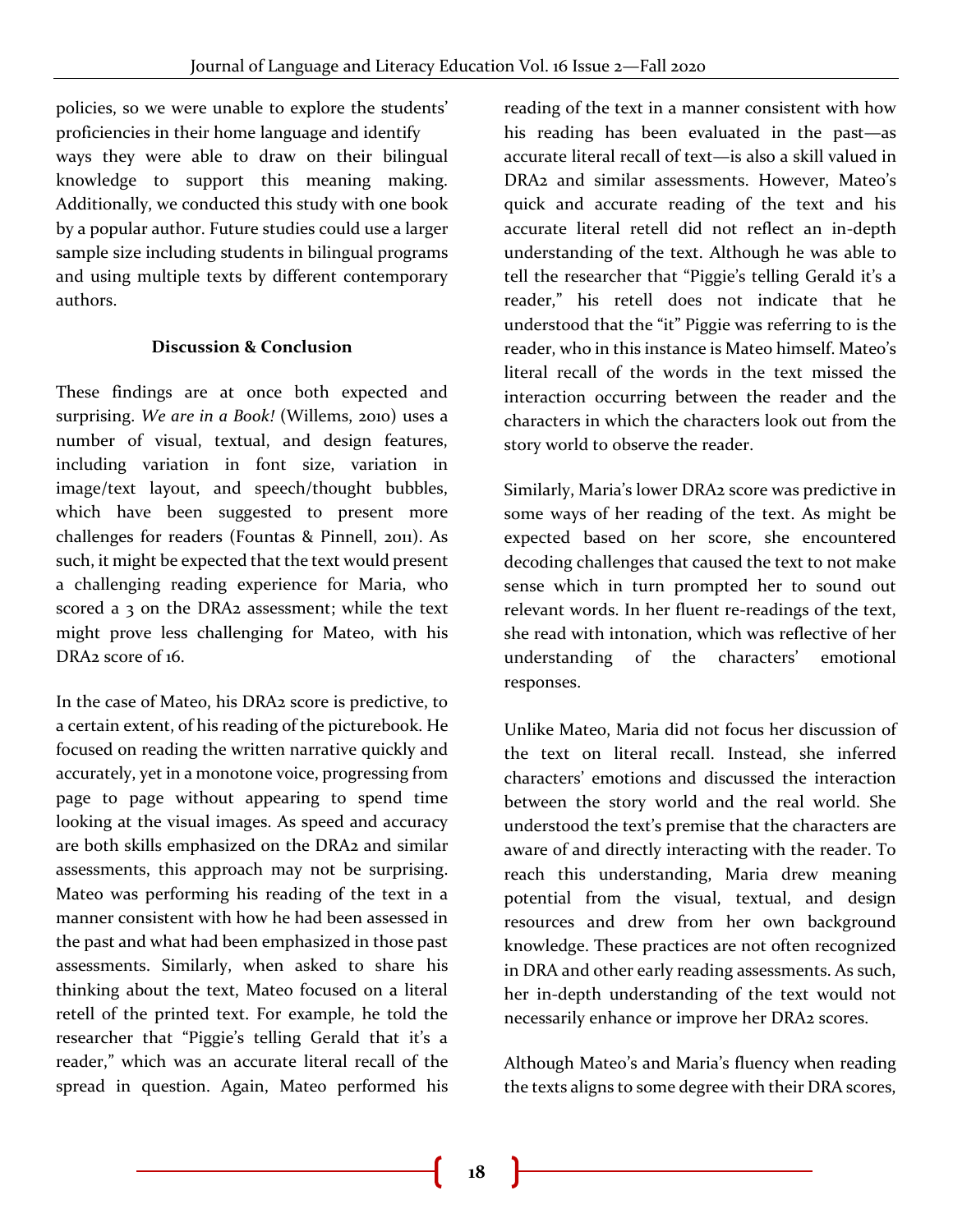policies, so we were unable to explore the students' proficiencies in their home language and identify ways they were able to draw on their bilingual knowledge to support this meaning making. Additionally, we conducted this study with one book by a popular author. Future studies could use a larger sample size including students in bilingual programs and using multiple texts by different contemporary authors.

#### **Discussion & Conclusion**

These findings are at once both expected and surprising. *We are in a Book!* (Willems, 2010) uses a number of visual, textual, and design features, including variation in font size, variation in image/text layout, and speech/thought bubbles, which have been suggested to present more challenges for readers (Fountas & Pinnell, 2011). As such, it might be expected that the text would present a challenging reading experience for Maria, who scored a 3 on the DRA2 assessment; while the text might prove less challenging for Mateo, with his DRA<sub>2</sub> score of 16.

In the case of Mateo, his DRA2 score is predictive, to a certain extent, of his reading of the picturebook. He focused on reading the written narrative quickly and accurately, yet in a monotone voice, progressing from page to page without appearing to spend time looking at the visual images. As speed and accuracy are both skills emphasized on the DRA2 and similar assessments, this approach may not be surprising. Mateo was performing his reading of the text in a manner consistent with how he had been assessed in the past and what had been emphasized in those past assessments. Similarly, when asked to share his thinking about the text, Mateo focused on a literal retell of the printed text. For example, he told the researcher that "Piggie's telling Gerald that it's a reader," which was an accurate literal recall of the spread in question. Again, Mateo performed his

reading of the text in a manner consistent with how his reading has been evaluated in the past—as accurate literal recall of text—is also a skill valued in DRA2 and similar assessments. However, Mateo's quick and accurate reading of the text and his accurate literal retell did not reflect an in-depth understanding of the text. Although he was able to tell the researcher that "Piggie's telling Gerald it's a reader," his retell does not indicate that he understood that the "it" Piggie was referring to is the reader, who in this instance is Mateo himself. Mateo's literal recall of the words in the text missed the interaction occurring between the reader and the characters in which the characters look out from the story world to observe the reader.

Similarly, Maria's lower DRA2 score was predictive in some ways of her reading of the text. As might be expected based on her score, she encountered decoding challenges that caused the text to not make sense which in turn prompted her to sound out relevant words. In her fluent re-readings of the text, she read with intonation, which was reflective of her understanding of the characters' emotional responses.

Unlike Mateo, Maria did not focus her discussion of the text on literal recall. Instead, she inferred characters' emotions and discussed the interaction between the story world and the real world. She understood the text's premise that the characters are aware of and directly interacting with the reader. To reach this understanding, Maria drew meaning potential from the visual, textual, and design resources and drew from her own background knowledge. These practices are not often recognized in DRA and other early reading assessments. As such, her in-depth understanding of the text would not necessarily enhance or improve her DRA2 scores.

Although Mateo's and Maria's fluency when reading the texts aligns to some degree with their DRA scores,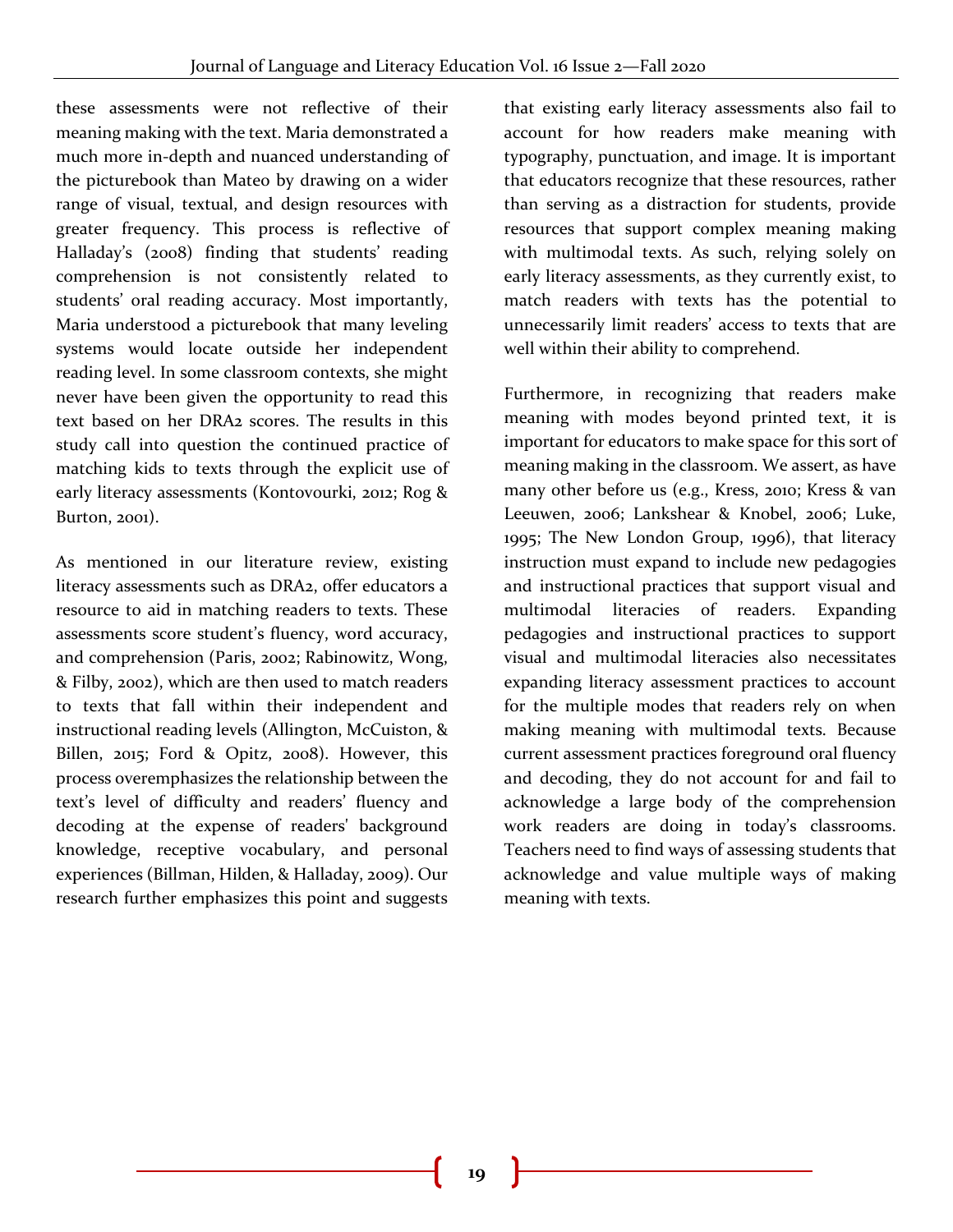these assessments were not reflective of their meaning making with the text. Maria demonstrated a much more in-depth and nuanced understanding of the picturebook than Mateo by drawing on a wider range of visual, textual, and design resources with greater frequency. This process is reflective of Halladay's (2008) finding that students' reading comprehension is not consistently related to students' oral reading accuracy. Most importantly, Maria understood a picturebook that many leveling systems would locate outside her independent reading level. In some classroom contexts, she might never have been given the opportunity to read this text based on her DRA2 scores. The results in this study call into question the continued practice of matching kids to texts through the explicit use of early literacy assessments (Kontovourki, 2012; Rog & Burton, 2001).

As mentioned in our literature review, existing literacy assessments such as DRA2, offer educators a resource to aid in matching readers to texts. These assessments score student's fluency, word accuracy, and comprehension (Paris, 2002; Rabinowitz, Wong, & Filby, 2002), which are then used to match readers to texts that fall within their independent and instructional reading levels (Allington, McCuiston, & Billen, 2015; Ford & Opitz, 2008). However, this process overemphasizes the relationship between the text's level of difficulty and readers' fluency and decoding at the expense of readers' background knowledge, receptive vocabulary, and personal experiences (Billman, Hilden, & Halladay, 2009). Our research further emphasizes this point and suggests

that existing early literacy assessments also fail to account for how readers make meaning with typography, punctuation, and image. It is important that educators recognize that these resources, rather than serving as a distraction for students, provide resources that support complex meaning making with multimodal texts. As such, relying solely on early literacy assessments, as they currently exist, to match readers with texts has the potential to unnecessarily limit readers' access to texts that are well within their ability to comprehend.

Furthermore, in recognizing that readers make meaning with modes beyond printed text, it is important for educators to make space for this sort of meaning making in the classroom. We assert, as have many other before us (e.g., Kress, 2010; Kress & van Leeuwen, 2006; Lankshear & Knobel, 2006; Luke, 1995; The New London Group, 1996), that literacy instruction must expand to include new pedagogies and instructional practices that support visual and multimodal literacies of readers. Expanding pedagogies and instructional practices to support visual and multimodal literacies also necessitates expanding literacy assessment practices to account for the multiple modes that readers rely on when making meaning with multimodal texts. Because current assessment practices foreground oral fluency and decoding, they do not account for and fail to acknowledge a large body of the comprehension work readers are doing in today's classrooms. Teachers need to find ways of assessing students that acknowledge and value multiple ways of making meaning with texts.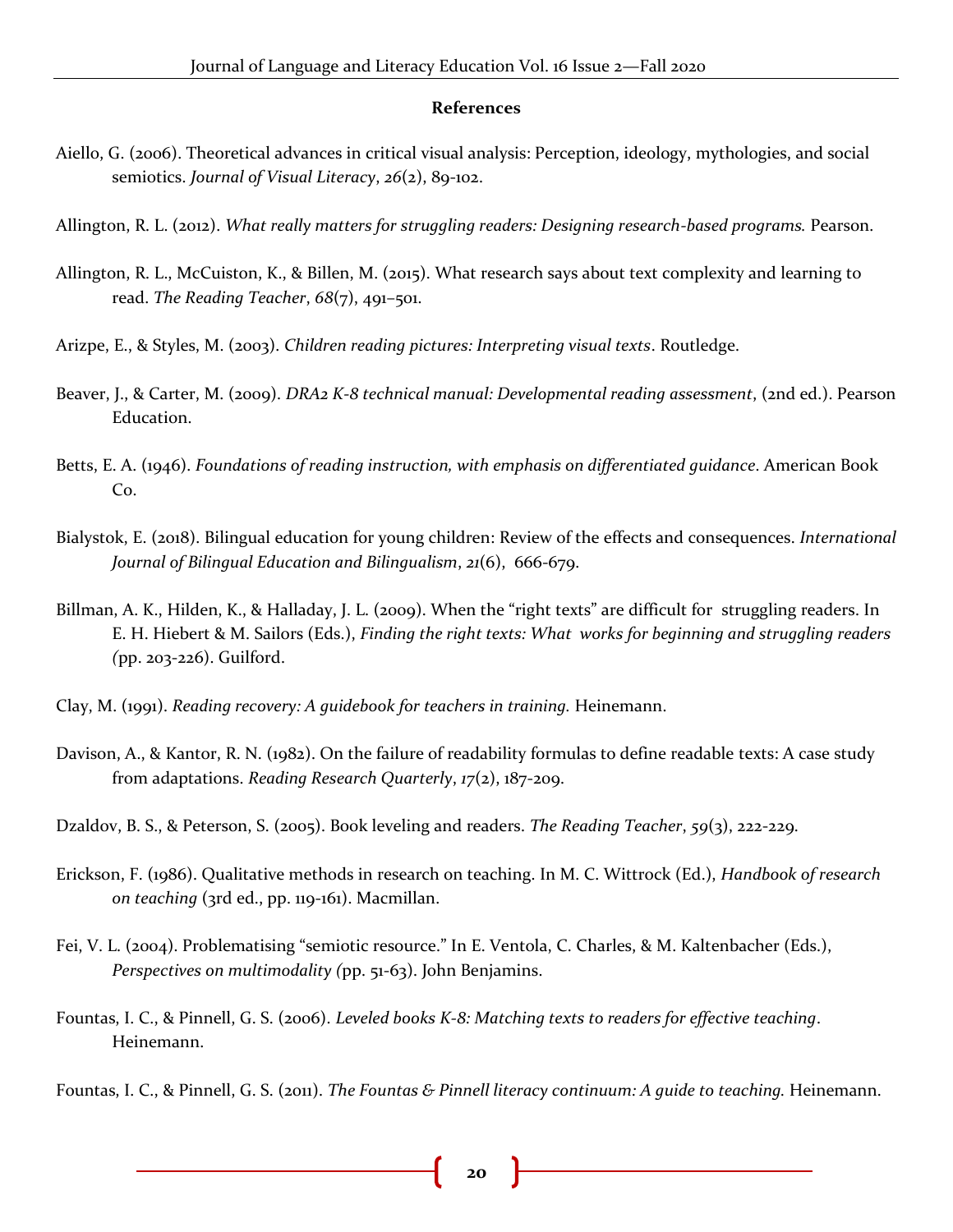#### **References**

- Aiello, G. (2006). Theoretical advances in critical visual analysis: Perception, ideology, mythologies, and social semiotics. *Journal of Visual Literacy*, *26*(2), 89-102.
- Allington, R. L. (2012). *What really matters for struggling readers: Designing research-based programs.* Pearson.
- Allington, R. L., McCuiston, K., & Billen, M. (2015). What research says about text complexity and learning to read. *The Reading Teacher*, *68*(7), 491–501.
- Arizpe, E., & Styles, M. (2003). *Children reading pictures: Interpreting visual texts*. Routledge.
- Beaver, J., & Carter, M. (2009). *DRA2 K-8 technical manual: Developmental reading assessment*, (2nd ed.). Pearson Education.
- Betts, E. A. (1946). *Foundations of reading instruction, with emphasis on differentiated guidance*. American Book Co.
- Bialystok, E. (2018). Bilingual education for young children: Review of the effects and consequences. *International Journal of Bilingual Education and Bilingualism*, *21*(6), 666-679.
- Billman, A. K., Hilden, K., & Halladay, J. L. (2009). When the "right texts" are difficult for struggling readers. In E. H. Hiebert & M. Sailors (Eds.), *Finding the right texts: What works for beginning and struggling readers (*pp. 203-226). Guilford.
- Clay, M. (1991). *Reading recovery: A guidebook for teachers in training.* Heinemann.
- Davison, A., & Kantor, R. N. (1982). On the failure of readability formulas to define readable texts: A case study from adaptations. *Reading Research Quarterly*, *17*(2), 187-209.
- Dzaldov, B. S., & Peterson, S. (2005). Book leveling and readers. *The Reading Teacher*, *59*(3), 222-229.
- Erickson, F. (1986). Qualitative methods in research on teaching. In M. C. Wittrock (Ed.), *Handbook of research on teaching* (3rd ed., pp. 119-161). Macmillan.
- Fei, V. L. (2004). Problematising "semiotic resource." In E. Ventola, C. Charles, & M. Kaltenbacher (Eds.), *Perspectives on multimodality (*pp. 51-63). John Benjamins.
- Fountas, I. C., & Pinnell, G. S. (2006). *Leveled books K-8: Matching texts to readers for effective teaching*. Heinemann.
- Fountas, I. C., & Pinnell, G. S. (2011). *The Fountas & Pinnell literacy continuum: A guide to teaching.* Heinemann.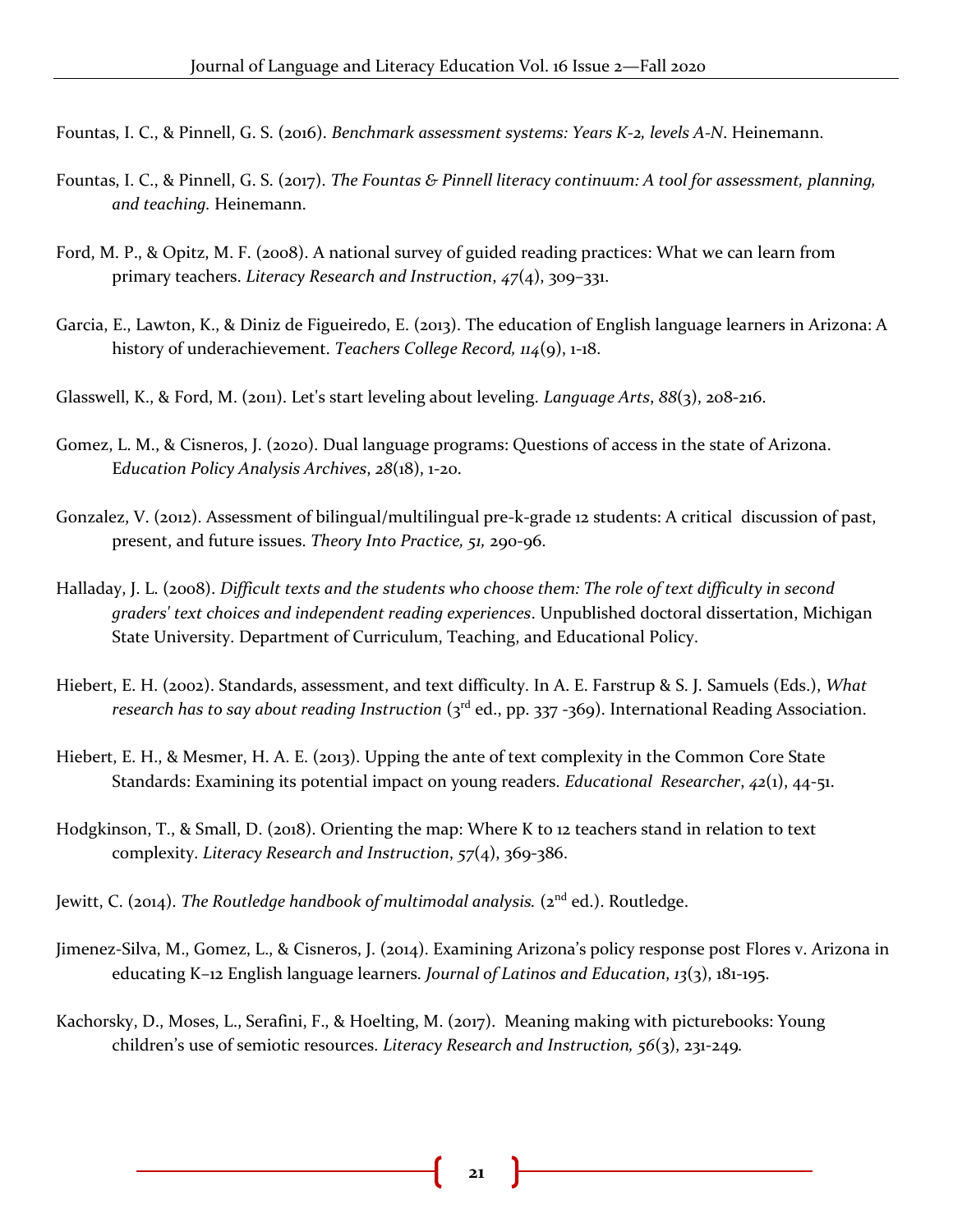Fountas, I. C., & Pinnell, G. S. (2016). *Benchmark assessment systems: Years K-2, levels A-N*. Heinemann.

- Fountas, I. C., & Pinnell, G. S. (2017). *The Fountas & Pinnell literacy continuum: A tool for assessment, planning, and teaching.* Heinemann.
- Ford, M. P., & Opitz, M. F. (2008). A national survey of guided reading practices: What we can learn from primary teachers. *Literacy Research and Instruction*, *47*(4), 309–331.
- Garcia, E., Lawton, K., & Diniz de Figueiredo, E. (2013). The education of English language learners in Arizona: A history of underachievement. *Teachers College Record, 114*(9), 1-18.
- Glasswell, K., & Ford, M. (2011). Let's start leveling about leveling. *Language Arts*, *88*(3), 208-216.
- Gomez, L. M., & Cisneros, J. (2020). Dual language programs: Questions of access in the state of Arizona. E*ducation Policy Analysis Archives*, *28*(18), 1-20.
- Gonzalez, V. (2012). Assessment of bilingual/multilingual pre-k-grade 12 students: A critical discussion of past, present, and future issues. *Theory Into Practice, 51,* 290-96.
- Halladay, J. L. (2008). *Difficult texts and the students who choose them: The role of text difficulty in second graders' text choices and independent reading experiences*. Unpublished doctoral dissertation, Michigan State University. Department of Curriculum, Teaching, and Educational Policy.
- Hiebert, E. H. (2002). Standards, assessment, and text difficulty. In A. E. Farstrup & S. J. Samuels (Eds.), *What*  research has to say about reading Instruction (3<sup>rd</sup> ed., pp. 337 -369). International Reading Association.
- Hiebert, E. H., & Mesmer, H. A. E. (2013). Upping the ante of text complexity in the Common Core State Standards: Examining its potential impact on young readers. *Educational Researcher*, *42*(1), 44-51.
- Hodgkinson, T., & Small, D. (2018). Orienting the map: Where K to 12 teachers stand in relation to text complexity. *Literacy Research and Instruction*, *57*(4), 369-386.
- Jewitt, C. (2014). *The Routledge handbook of multimodal analysis.* (2<sup>nd</sup> ed.). Routledge.
- Jimenez-Silva, M., Gomez, L., & Cisneros, J. (2014). Examining Arizona's policy response post Flores v. Arizona in educating K–12 English language learners. *Journal of Latinos and Education*, *13*(3), 181-195.
- Kachorsky, D., Moses, L., Serafini, F., & Hoelting, M. (2017). Meaning making with picturebooks: Young children's use of semiotic resources. *Literacy Research and Instruction, 56*(3), 231-249*.*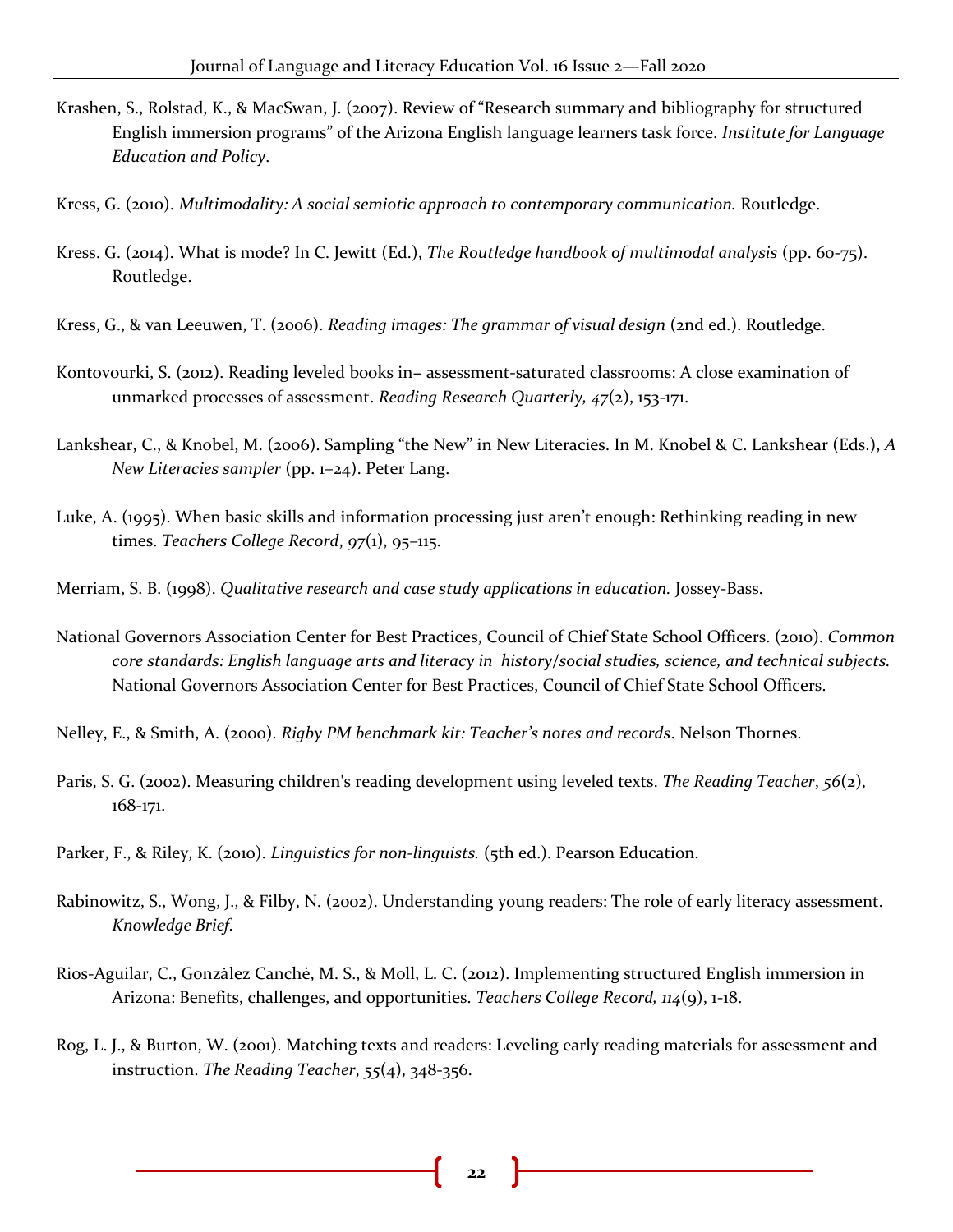- Krashen, S., Rolstad, K., & MacSwan, J. (2007). Review of "Research summary and bibliography for structured English immersion programs" of the Arizona English language learners task force. *Institute for Language Education and Policy*.
- Kress, G. (2010). *Multimodality: A social semiotic approach to contemporary communication.* Routledge.
- Kress. G. (2014). What is mode? In C. Jewitt (Ed.), *The Routledge handbook of multimodal analysis* (pp. 60-75). Routledge.
- Kress, G., & van Leeuwen, T. (2006). *Reading images: The grammar of visual design* (2nd ed.). Routledge.
- Kontovourki, S. (2012). Reading leveled books in− assessment‐saturated classrooms: A close examination of unmarked processes of assessment. *Reading Research Quarterly, 47*(2), 153-171.
- Lankshear, C., & Knobel, M. (2006). Sampling "the New" in New Literacies. In M. Knobel & C. Lankshear (Eds.), *A New Literacies sampler* (pp. 1–24). Peter Lang.
- Luke, A. (1995). When basic skills and information processing just aren't enough: Rethinking reading in new times. *Teachers College Record*, *97*(1), 95–115.
- Merriam, S. B. (1998). *Qualitative research and case study applications in education.* Jossey-Bass.
- National Governors Association Center for Best Practices, Council of Chief State School Officers. (2010). *Common core standards: English language arts and literacy in history/social studies, science, and technical subjects.* National Governors Association Center for Best Practices, Council of Chief State School Officers.
- Nelley, E., & Smith, A. (2000). *Rigby PM benchmark kit: Teacher's notes and records*. Nelson Thornes.
- Paris, S. G. (2002). Measuring children's reading development using leveled texts. *The Reading Teacher*, *56*(2), 168-171.
- Parker, F., & Riley, K. (2010). *Linguistics for non-linguists.* (5th ed.). Pearson Education.
- Rabinowitz, S., Wong, J., & Filby, N. (2002). Understanding young readers: The role of early literacy assessment. *Knowledge Brief.*
- Rios-Aguilar, C., Gonzȧlez Canchė, M. S., & Moll, L. C. (2012). Implementing structured English immersion in Arizona: Benefits, challenges, and opportunities. *Teachers College Record, 114*(9), 1-18.
- Rog, L. J., & Burton, W. (2001). Matching texts and readers: Leveling early reading materials for assessment and instruction. *The Reading Teacher*, *55*(4), 348-356.